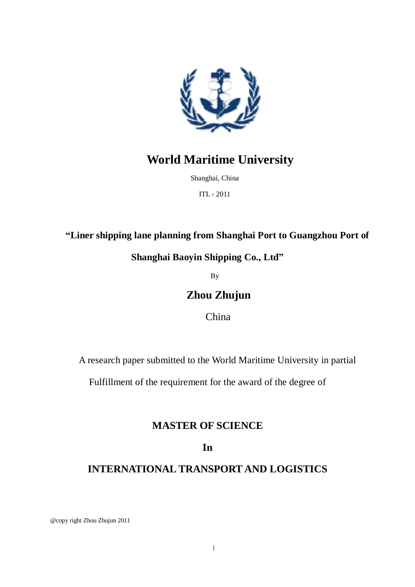

# **World Maritime University**

Shanghai, China

ITL - 2011

## **"Liner shipping lane planning from Shanghai Port to Guangzhou Port of**

## **Shanghai Baoyin Shipping Co., Ltd"**

By

## **Zhou Zhujun**

China

A research paper submitted to the World Maritime University in partial

Fulfillment of the requirement for the award of the degree of

## **MASTER OF SCIENCE**

## **In**

## **INTERNATIONAL TRANSPORT AND LOGISTICS**

@copy right Zhou Zhujun 2011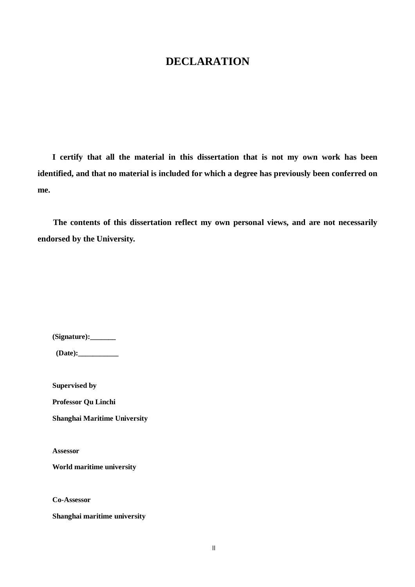## **DECLARATION**

**I certify that all the material in this dissertation that is not my own work has been identified, and that no material is included for which a degree has previously been conferred on me.**

**The contents of this dissertation reflect my own personal views, and are not necessarily endorsed by the University.**

**(Signature):\_\_\_\_\_\_\_**

**(Date):\_\_\_\_\_\_\_\_\_\_\_**

**Supervised by** 

**Professor Qu Linchi**

**Shanghai Maritime University** 

**Assessor**

**World maritime university**

**Co-Assessor**

**Shanghai maritime university**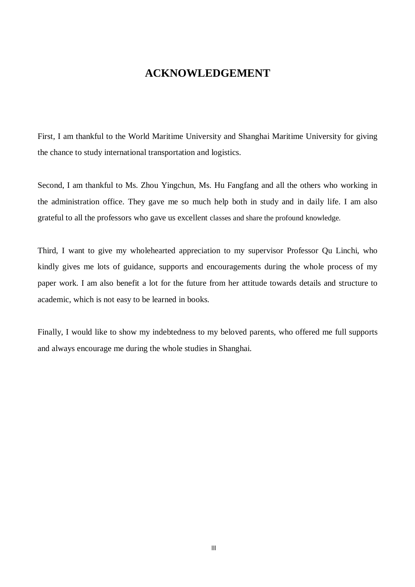## **ACKNOWLEDGEMENT**

First, I am thankful to the World Maritime University and Shanghai Maritime University for giving the chance to study international transportation and logistics.

Second, I am thankful to Ms. Zhou Yingchun, Ms. Hu Fangfang and all the others who working in the administration office. They gave me so much help both in study and in daily life. I am also grateful to all the professors who gave us excellent classes and share the profound knowledge.

Third, I want to give my wholehearted appreciation to my supervisor Professor Qu Linchi, who kindly gives me lots of guidance, supports and encouragements during the whole process of my paper work. I am also benefit a lot for the future from her attitude towards details and structure to academic, which is not easy to be learned in books.

Finally, I would like to show my indebtedness to my beloved parents, who offered me full supports and always encourage me during the whole studies in Shanghai.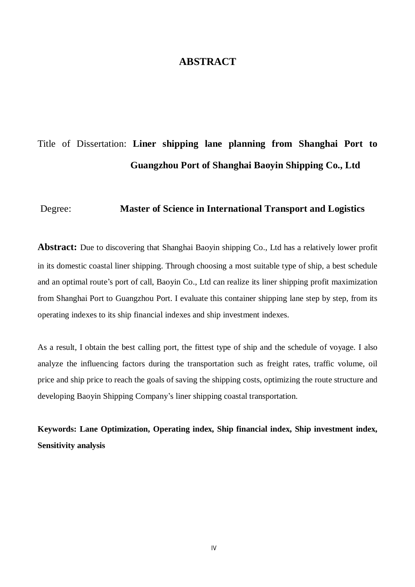## **ABSTRACT**

# Title of Dissertation: **Liner shipping lane planning from Shanghai Port to Guangzhou Port of Shanghai Baoyin Shipping Co., Ltd**

#### Degree: **Master of Science in International Transport and Logistics**

**Abstract:** Due to discovering that Shanghai Baoyin shipping Co., Ltd has a relatively lower profit in its domestic coastal liner shipping. Through choosing a most suitable type of ship, a best schedule and an optimal route's port of call, Baoyin Co., Ltd can realize its liner shipping profit maximization from Shanghai Port to Guangzhou Port. I evaluate this container shipping lane step by step, from its operating indexes to its ship financial indexes and ship investment indexes.

As a result, I obtain the best calling port, the fittest type of ship and the schedule of voyage. I also analyze the influencing factors during the transportation such as freight rates, traffic volume, oil price and ship price to reach the goals of saving the shipping costs, optimizing the route structure and developing Baoyin Shipping Company's liner shipping coastal transportation.

**Keywords: Lane Optimization, Operating index, Ship financial index, Ship investment index, Sensitivity analysis**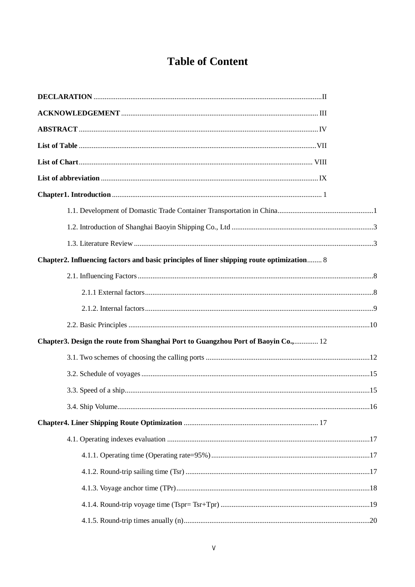# **Table of Content**

| Chapter2. Influencing factors and basic principles of liner shipping route optimization 8 |  |
|-------------------------------------------------------------------------------------------|--|
|                                                                                           |  |
|                                                                                           |  |
|                                                                                           |  |
|                                                                                           |  |
| Chapter 3. Design the route from Shanghai Port to Guangzhou Port of Baoyin Co., 12        |  |
|                                                                                           |  |
|                                                                                           |  |
|                                                                                           |  |
|                                                                                           |  |
|                                                                                           |  |
|                                                                                           |  |
|                                                                                           |  |
|                                                                                           |  |
|                                                                                           |  |
|                                                                                           |  |
|                                                                                           |  |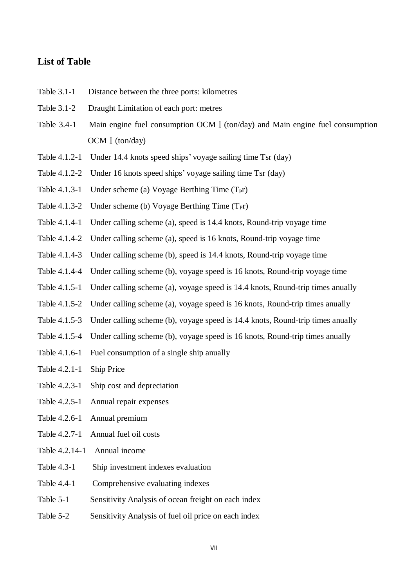### **List of Table**

- Table 3.1-1 Distance between the three ports: kilometres
- Table 3.1-2 Draught Limitation of each port: metres
- Table 3.4-1 Main engine fuel consumption OCM I (ton/day) and Main engine fuel consumption OCM I (ton/day)
- Table 4.1.2-1 Under 14.4 knots speed ships' voyage sailing time Tsr (day)
- Table 4.1.2-2 Under 16 knots speed ships' voyage sailing time Tsr (day)
- Table 4.1.3-1 Under scheme (a) Voyage Berthing Time  $(T<sub>PT</sub>)$
- Table 4.1.3-2 Under scheme (b) Voyage Berthing Time  $(T<sub>PT</sub>)$
- Table 4.1.4-1 Under calling scheme (a), speed is 14.4 knots, Round-trip voyage time
- Table 4.1.4-2 Under calling scheme (a), speed is 16 knots, Round-trip voyage time
- Table 4.1.4-3 Under calling scheme (b), speed is 14.4 knots, Round-trip voyage time
- Table 4.1.4-4 Under calling scheme (b), voyage speed is 16 knots, Round-trip voyage time
- Table 4.1.5-1 Under calling scheme (a), voyage speed is 14.4 knots, Round-trip times anually
- Table 4.1.5-2 Under calling scheme (a), voyage speed is 16 knots, Round-trip times anually
- Table 4.1.5-3 Under calling scheme (b), voyage speed is 14.4 knots, Round-trip times anually
- Table 4.1.5-4 Under calling scheme (b), voyage speed is 16 knots, Round-trip times anually
- Table 4.1.6-1 Fuel consumption of a single ship anually
- Table 4.2.1-1 Ship Price
- Table 4.2.3-1 Ship cost and depreciation
- Table 4.2.5-1 Annual repair expenses
- Table 4.2.6-1 Annual premium
- Table 4.2.7-1 Annual fuel oil costs
- Table 4.2.14-1 Annual income
- Table 4.3-1 Ship investment indexes evaluation
- Table 4.4-1 Comprehensive evaluating indexes
- Table 5-1 Sensitivity Analysis of ocean freight on each index
- Table 5-2 Sensitivity Analysis of fuel oil price on each index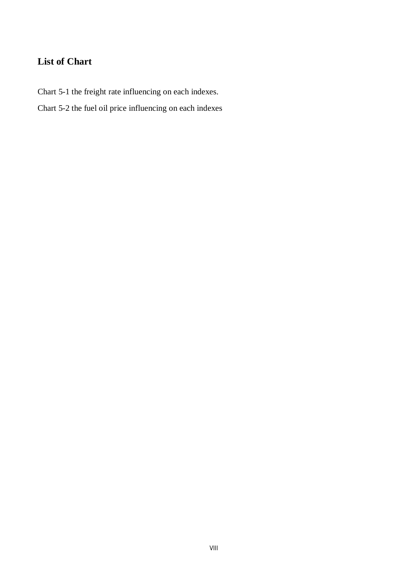## **List of Chart**

Chart 5-1 the freight rate influencing on each indexes.

Chart 5-2 the fuel oil price influencing on each indexes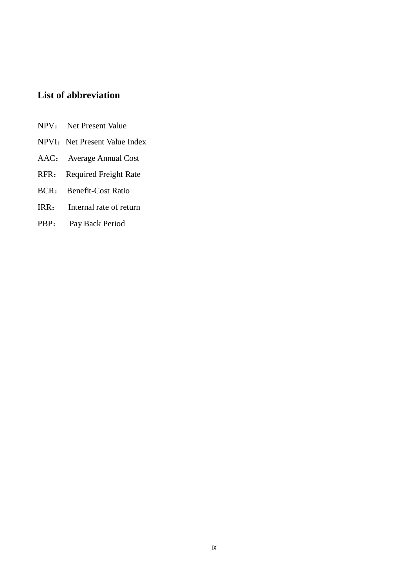## **List of abbreviation**

- NPV: Net Present Value
- NPVI: Net Present Value Index
- AAC: Average Annual Cost
- RFR: Required Freight Rate
- BCR: Benefit-Cost Ratio
- IRR: Internal rate of return
- PBP: Pay Back Period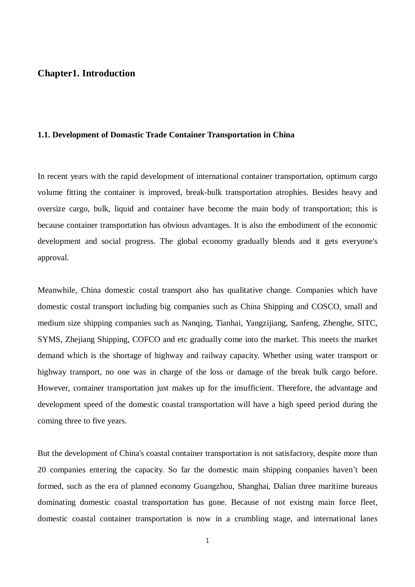#### **Chapter1. Introduction**

#### **1.1. Development of Domastic Trade Container Transportation in China**

In recent years with the rapid development of international container transportation, optimum cargo volume fitting the container is improved, break-bulk transportation atrophies. Besides heavy and oversize cargo, bulk, liquid and container have become the main body of transportation; this is because container transportation has obvious advantages. It is also the embodiment of the economic development and social progress. The global economy gradually blends and it gets everyone's approval.

Meanwhile, China domestic costal transport also has qualitative change. Companies which have domestic costal transport including big companies such as China Shipping and COSCO, small and medium size shipping companies such as Nanqing, Tianhai, Yangzijiang, Sanfeng, Zhenghe, SITC, SYMS, Zhejiang Shipping, COFCO and etc gradually come into the market. This meets the market demand which is the shortage of highway and railway capacity. Whether using water transport or highway transport, no one was in charge of the loss or damage of the break bulk cargo before. However, container transportation just makes up for the insufficient. Therefore, the advantage and development speed of the domestic coastal transportation will have a high speed period during the coming three to five years.

But the development of China's coastal container transportation is not satisfactory, despite more than 20 companies entering the capacity. So far the domestic main shipping conpanies haven't been formed, such as the era of planned economy Guangzhou, Shanghai, Dalian three maritime bureaus dominating domestic coastal transportation has gone. Because of not existng main force fleet, domestic coastal container transportation is now in a crumbling stage, and international lanes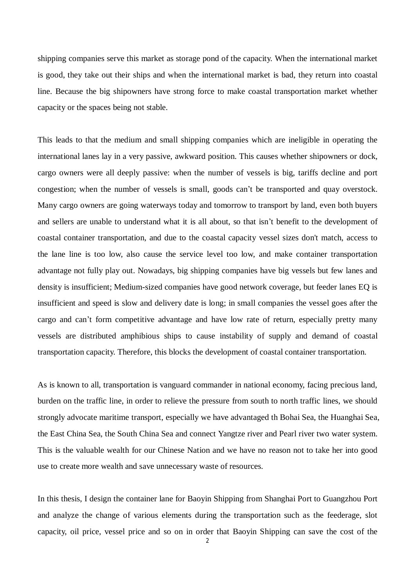shipping companies serve this market as storage pond of the capacity. When the international market is good, they take out their ships and when the international market is bad, they return into coastal line. Because the big shipowners have strong force to make coastal transportation market whether capacity or the spaces being not stable.

This leads to that the medium and small shipping companies which are ineligible in operating the international lanes lay in a very passive, awkward position. This causes whether shipowners or dock, cargo owners were all deeply passive: when the number of vessels is big, tariffs decline and port congestion; when the number of vessels is small, goods can't be transported and quay overstock. Many cargo owners are going waterways today and tomorrow to transport by land, even both buyers and sellers are unable to understand what it is all about, so that isn't benefit to the development of coastal container transportation, and due to the coastal capacity vessel sizes don't match, access to the lane line is too low, also cause the service level too low, and make container transportation advantage not fully play out. Nowadays, big shipping companies have big vessels but few lanes and density is insufficient; Medium-sized companies have good network coverage, but feeder lanes EQ is insufficient and speed is slow and delivery date is long; in small companies the vessel goes after the cargo and can't form competitive advantage and have low rate of return, especially pretty many vessels are distributed amphibious ships to cause instability of supply and demand of coastal transportation capacity. Therefore, this blocks the development of coastal container transportation.

As is known to all, transportation is vanguard commander in national economy, facing precious land, burden on the traffic line, in order to relieve the pressure from south to north traffic lines, we should strongly advocate maritime transport, especially we have advantaged th Bohai Sea, the Huanghai Sea, the East China Sea, the South China Sea and connect Yangtze river and Pearl river two water system. This is the valuable wealth for our Chinese Nation and we have no reason not to take her into good use to create more wealth and save unnecessary waste of resources.

In this thesis, I design the container lane for Baoyin Shipping from Shanghai Port to Guangzhou Port and analyze the change of various elements during the transportation such as the feederage, slot capacity, oil price, vessel price and so on in order that Baoyin Shipping can save the cost of the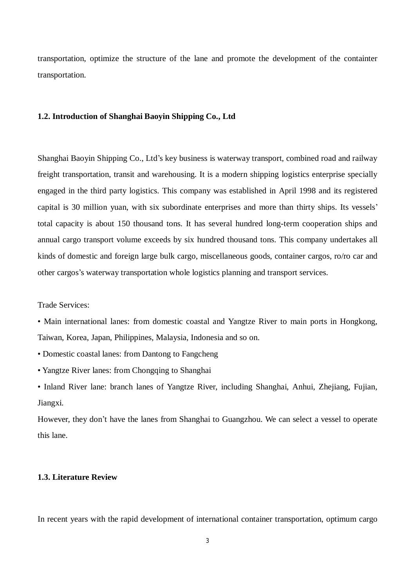transportation, optimize the structure of the lane and promote the development of the containter transportation.

#### **1.2. Introduction of Shanghai Baoyin Shipping Co., Ltd**

Shanghai Baoyin Shipping Co., Ltd's key business is waterway transport, combined road and railway freight transportation, transit and warehousing. It is a modern shipping logistics enterprise specially engaged in the third party logistics. This company was established in April 1998 and its registered capital is 30 million yuan, with six subordinate enterprises and more than thirty ships. Its vessels' total capacity is about 150 thousand tons. It has several hundred long-term cooperation ships and annual cargo transport volume exceeds by six hundred thousand tons. This company undertakes all kinds of domestic and foreign large bulk cargo, miscellaneous goods, container cargos, ro/ro car and other cargos's waterway transportation whole logistics planning and transport services.

Trade Services:

• Main international lanes: from domestic coastal and Yangtze River to main ports in Hongkong, Taiwan, Korea, Japan, Philippines, Malaysia, Indonesia and so on.

• Domestic coastal lanes: from Dantong to Fangcheng

• Yangtze River lanes: from Chongqing to Shanghai

• Inland River lane: branch lanes of Yangtze River, including Shanghai, Anhui, Zhejiang, Fujian, Jiangxi.

However, they don't have the lanes from Shanghai to Guangzhou. We can select a vessel to operate this lane.

#### **1.3. Literature Review**

In recent years with the rapid development of international container transportation, optimum cargo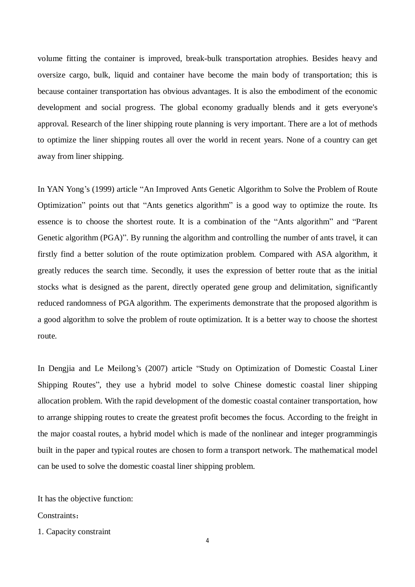volume fitting the container is improved, break-bulk transportation atrophies. Besides heavy and oversize cargo, bulk, liquid and container have become the main body of transportation; this is because container transportation has obvious advantages. It is also the embodiment of the economic development and social progress. The global economy gradually blends and it gets everyone's approval. Research of the liner shipping route planning is very important. There are a lot of methods to optimize the liner shipping routes all over the world in recent years. None of a country can get away from liner shipping.

In YAN Yong's (1999) article "An Improved Ants Genetic Algorithm to Solve the Problem of Route Optimization" points out that "Ants genetics algorithm" is a good way to optimize the route. Its essence is to choose the shortest route. It is a combination of the "Ants algorithm" and "Parent Genetic algorithm (PGA)". By running the algorithm and controlling the number of ants travel, it can firstly find a better solution of the route optimization problem. Compared with ASA algorithm, it greatly reduces the search time. Secondly, it uses the expression of better route that as the initial stocks what is designed as the parent, directly operated gene group and delimitation, significantly reduced randomness of PGA algorithm. The experiments demonstrate that the proposed algorithm is a good algorithm to solve the problem of route optimization. It is a better way to choose the shortest route.

In Dengjia and Le Meilong's (2007) article "Study on Optimization of Domestic Coastal Liner Shipping Routes", they use a hybrid model to solve Chinese domestic coastal liner shipping allocation problem. With the rapid development of the domestic coastal container transportation, how to arrange shipping routes to create the greatest profit becomes the focus. According to the freight in the major coastal routes, a hybrid model which is made of the nonlinear and integer programmingis built in the paper and typical routes are chosen to form a transport network. The mathematical model can be used to solve the domestic coastal liner shipping problem.

It has the objective function:

Constraints .

1. Capacity constraint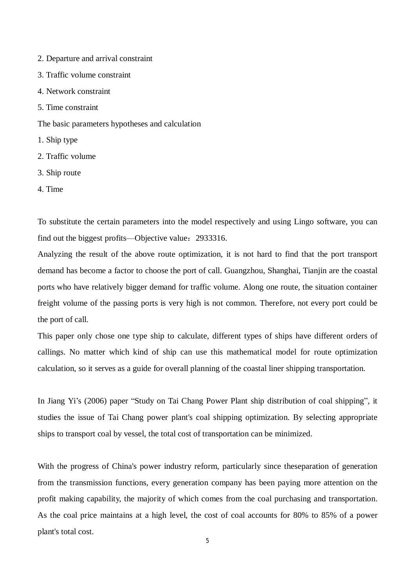- 2. Departure and arrival constraint
- 3. Traffic volume constraint
- 4. Network constraint
- 5. Time constraint
- The basic parameters hypotheses and calculation
- 1. Ship type
- 2. Traffic volume
- 3. Ship route
- 4. Time

To substitute the certain parameters into the model respectively and using Lingo software, you can find out the biggest profits—Objective value: 2933316.

Analyzing the result of the above route optimization, it is not hard to find that the port transport demand has become a factor to choose the port of call. Guangzhou, Shanghai, Tianjin are the coastal ports who have relatively bigger demand for traffic volume. Along one route, the situation container freight volume of the passing ports is very high is not common. Therefore, not every port could be the port of call.

This paper only chose one type ship to calculate, different types of ships have different orders of callings. No matter which kind of ship can use this mathematical model for route optimization calculation, so it serves as a guide for overall planning of the coastal liner shipping transportation.

In Jiang Yi's (2006) paper "Study on Tai Chang Power Plant ship distribution of coal shipping", it studies the issue of Tai Chang power plant's coal shipping optimization. By selecting appropriate ships to transport coal by vessel, the total cost of transportation can be minimized.

With the progress of China's power industry reform, particularly since theseparation of generation from the transmission functions, every generation company has been paying more attention on the profit making capability, the majority of which comes from the coal purchasing and transportation. As the coal price maintains at a high level, the cost of coal accounts for 80% to 85% of a power plant's total cost.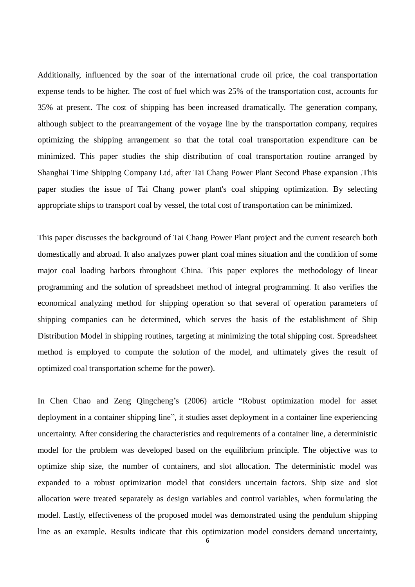Additionally, influenced by the soar of the international crude oil price, the coal transportation expense tends to be higher. The cost of fuel which was 25% of the transportation cost, accounts for 35% at present. The cost of shipping has been increased dramatically. The generation company, although subject to the prearrangement of the voyage line by the transportation company, requires optimizing the shipping arrangement so that the total coal transportation expenditure can be minimized. This paper studies the ship distribution of coal transportation routine arranged by Shanghai Time Shipping Company Ltd, after Tai Chang Power Plant Second Phase expansion .This paper studies the issue of Tai Chang power plant's coal shipping optimization. By selecting appropriate ships to transport coal by vessel, the total cost of transportation can be minimized.

This paper discusses the background of Tai Chang Power Plant project and the current research both domestically and abroad. It also analyzes power plant coal mines situation and the condition of some major coal loading harbors throughout China. This paper explores the methodology of linear programming and the solution of spreadsheet method of integral programming. It also verifies the economical analyzing method for shipping operation so that several of operation parameters of shipping companies can be determined, which serves the basis of the establishment of Ship Distribution Model in shipping routines, targeting at minimizing the total shipping cost. Spreadsheet method is employed to compute the solution of the model, and ultimately gives the result of optimized coal transportation scheme for the power).

In Chen Chao and Zeng Qingcheng's (2006) article "Robust optimization model for asset deployment in a container shipping line", it studies asset deployment in a container line experiencing uncertainty. After considering the characteristics and requirements of a container line, a deterministic model for the problem was developed based on the equilibrium principle. The objective was to optimize ship size, the number of containers, and slot allocation. The deterministic model was expanded to a robust optimization model that considers uncertain factors. Ship size and slot allocation were treated separately as design variables and control variables, when formulating the model. Lastly, effectiveness of the proposed model was demonstrated using the pendulum shipping line as an example. Results indicate that this optimization model considers demand uncertainty,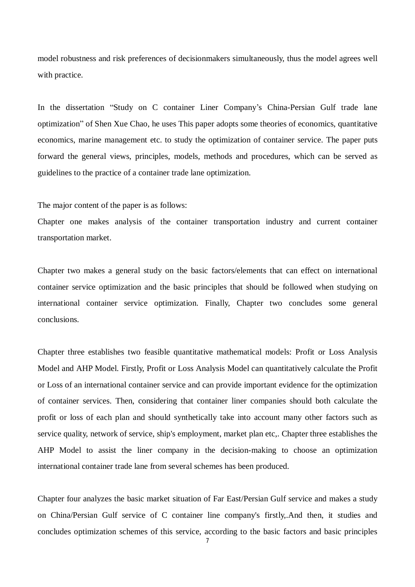model robustness and risk preferences of decisionmakers simultaneously, thus the model agrees well with practice.

In the dissertation "Study on C container Liner Company's China-Persian Gulf trade lane optimization" of Shen Xue Chao, he uses This paper adopts some theories of economics, quantitative economics, marine management etc. to study the optimization of container service. The paper puts forward the general views, principles, models, methods and procedures, which can be served as guidelines to the practice of a container trade lane optimization.

The major content of the paper is as follows:

Chapter one makes analysis of the container transportation industry and current container transportation market.

Chapter two makes a general study on the basic factors/elements that can effect on international container service optimization and the basic principles that should be followed when studying on international container service optimization. Finally, Chapter two concludes some general conclusions.

Chapter three establishes two feasible quantitative mathematical models: Profit or Loss Analysis Model and AHP Model. Firstly, Profit or Loss Analysis Model can quantitatively calculate the Profit or Loss of an international container service and can provide important evidence for the optimization of container services. Then, considering that container liner companies should both calculate the profit or loss of each plan and should synthetically take into account many other factors such as service quality, network of service, ship's employment, market plan etc,. Chapter three establishes the AHP Model to assist the liner company in the decision-making to choose an optimization international container trade lane from several schemes has been produced.

Chapter four analyzes the basic market situation of Far East/Persian Gulf service and makes a study on China/Persian Gulf service of C container line company's firstly,.And then, it studies and concludes optimization schemes of this service, according to the basic factors and basic principles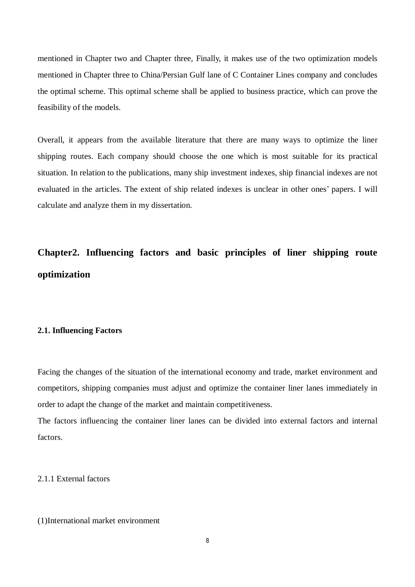mentioned in Chapter two and Chapter three, Finally, it makes use of the two optimization models mentioned in Chapter three to China/Persian Gulf lane of C Container Lines company and concludes the optimal scheme. This optimal scheme shall be applied to business practice, which can prove the feasibility of the models.

Overall, it appears from the available literature that there are many ways to optimize the liner shipping routes. Each company should choose the one which is most suitable for its practical situation. In relation to the publications, many ship investment indexes, ship financial indexes are not evaluated in the articles. The extent of ship related indexes is unclear in other ones' papers. I will calculate and analyze them in my dissertation.

# **Chapter2. Influencing factors and basic principles of liner shipping route optimization**

#### **2.1. Influencing Factors**

Facing the changes of the situation of the international economy and trade, market environment and competitors, shipping companies must adjust and optimize the container liner lanes immediately in order to adapt the change of the market and maintain competitiveness.

The factors influencing the container liner lanes can be divided into external factors and internal factors.

#### 2.1.1 External factors

#### (1)International market environment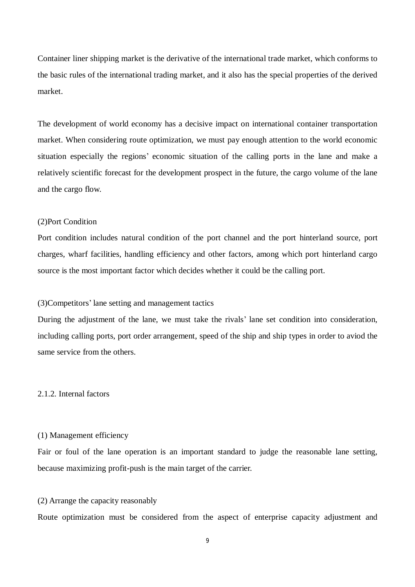Container liner shipping market is the derivative of the international trade market, which conforms to the basic rules of the international trading market, and it also has the special properties of the derived market.

The development of world economy has a decisive impact on international container transportation market. When considering route optimization, we must pay enough attention to the world economic situation especially the regions' economic situation of the calling ports in the lane and make a relatively scientific forecast for the development prospect in the future, the cargo volume of the lane and the cargo flow.

#### (2)Port Condition

Port condition includes natural condition of the port channel and the port hinterland source, port charges, wharf facilities, handling efficiency and other factors, among which port hinterland cargo source is the most important factor which decides whether it could be the calling port.

#### (3)Competitors' lane setting and management tactics

During the adjustment of the lane, we must take the rivals' lane set condition into consideration, including calling ports, port order arrangement, speed of the ship and ship types in order to aviod the same service from the others.

#### 2.1.2. Internal factors

#### (1) Management efficiency

Fair or foul of the lane operation is an important standard to judge the reasonable lane setting, because maximizing profit-push is the main target of the carrier.

#### (2) Arrange the capacity reasonably

Route optimization must be considered from the aspect of enterprise capacity adjustment and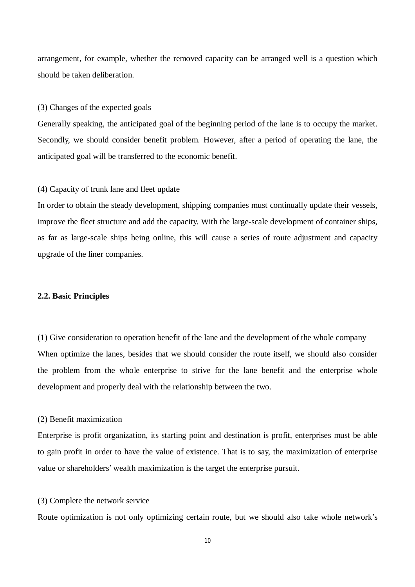arrangement, for example, whether the removed capacity can be arranged well is a question which should be taken deliberation.

#### (3) Changes of the expected goals

Generally speaking, the anticipated goal of the beginning period of the lane is to occupy the market. Secondly, we should consider benefit problem. However, after a period of operating the lane, the anticipated goal will be transferred to the economic benefit.

#### (4) Capacity of trunk lane and fleet update

In order to obtain the steady development, shipping companies must continually update their vessels, improve the fleet structure and add the capacity. With the large-scale development of container ships, as far as large-scale ships being online, this will cause a series of route adjustment and capacity upgrade of the liner companies.

#### **2.2. Basic Principles**

(1) Give consideration to operation benefit of the lane and the development of the whole company When optimize the lanes, besides that we should consider the route itself, we should also consider the problem from the whole enterprise to strive for the lane benefit and the enterprise whole development and properly deal with the relationship between the two.

#### (2) Benefit maximization

Enterprise is profit organization, its starting point and destination is profit, enterprises must be able to gain profit in order to have the value of existence. That is to say, the maximization of enterprise value or shareholders' wealth maximization is the target the enterprise pursuit.

#### (3) Complete the network service

Route optimization is not only optimizing certain route, but we should also take whole network's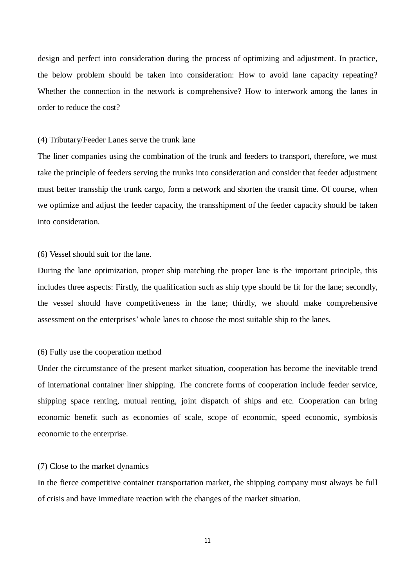design and perfect into consideration during the process of optimizing and adjustment. In practice, the below problem should be taken into consideration: How to avoid lane capacity repeating? Whether the connection in the network is comprehensive? How to interwork among the lanes in order to reduce the cost?

#### (4) Tributary/Feeder Lanes serve the trunk lane

The liner companies using the combination of the trunk and feeders to transport, therefore, we must take the principle of feeders serving the trunks into consideration and consider that feeder adjustment must better transship the trunk cargo, form a network and shorten the transit time. Of course, when we optimize and adjust the feeder capacity, the transshipment of the feeder capacity should be taken into consideration.

(6) Vessel should suit for the lane.

During the lane optimization, proper ship matching the proper lane is the important principle, this includes three aspects: Firstly, the qualification such as ship type should be fit for the lane; secondly, the vessel should have competitiveness in the lane; thirdly, we should make comprehensive assessment on the enterprises' whole lanes to choose the most suitable ship to the lanes.

#### (6) Fully use the cooperation method

Under the circumstance of the present market situation, cooperation has become the inevitable trend of international container liner shipping. The concrete forms of cooperation include feeder service, shipping space renting, mutual renting, joint dispatch of ships and etc. Cooperation can bring economic benefit such as economies of scale, scope of economic, speed economic, symbiosis economic to the enterprise.

#### (7) Close to the market dynamics

In the fierce competitive container transportation market, the shipping company must always be full of crisis and have immediate reaction with the changes of the market situation.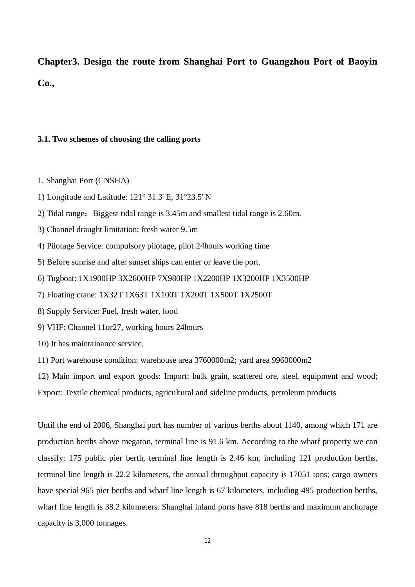**Chapter3. Design the route from Shanghai Port to Guangzhou Port of Baoyin Co.,** 

#### **3.1. Two schemes of choosing the calling ports**

1. Shanghai Port (CNSHA)

- 1) Longitude and Latitude: 121° 31.3' E, 31°23.5' N
- 2) Tidal range: Biggest tidal range is 3.45m and smallest tidal range is 2.60m.
- 3) Channel draught limitation: fresh water 9.5m
- 4) Pilotage Service: compulsory pilotage, pilot 24hours working time
- 5) Before sunrise and after sunset ships can enter or leave the port.
- 6) Tugboat: 1X1900HP 3X2600HP 7X980HP 1X2200HP 1X3200HP 1X3500HP

7) Floating crane: 1X32T 1X63T 1X100T 1X200T 1X500T 1X2500T

- 8) Supply Service: Fuel, fresh water, food
- 9) VHF: Channel 11or27, working hours 24hours
- 10) It has maintainance service.
- 11) Port warehouse condition: warehouse area 3760000m2; yard area 9960000m2

12) Main import and export goods: Import: bulk grain, scattered ore, steel, equipment and wood; Export: Textile chemical products, agricultural and sideline products, petroleum products

Until the end of 2006, Shanghai port has number of various berths about 1140, among which 171 are production berths above megaton, terminal line is 91.6 km. According to the wharf property we can classify: 175 public pier berth, terminal line length is 2.46 km, including 121 production berths, terminal line length is 22.2 kilometers, the annual throughput capacity is 17051 tons; cargo owners have special 965 pier berths and wharf line length is 67 kilometers, including 495 production berths, wharf line length is 38.2 kilometers. Shanghai inland ports have 818 berths and maximum anchorage capacity is 3,000 tonnages.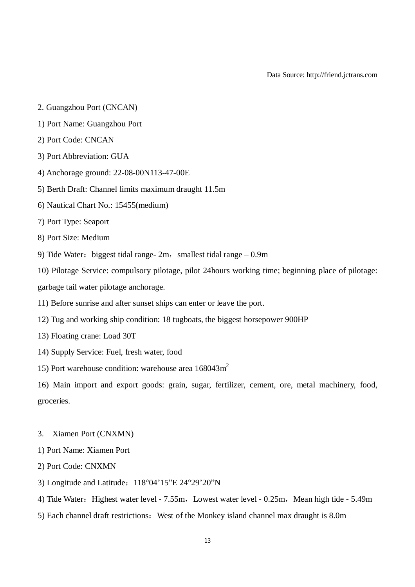Data Source: http://friend.jctrans.com

- 2. Guangzhou Port (CNCAN)
- 1) Port Name: Guangzhou Port
- 2) Port Code: CNCAN
- 3) Port Abbreviation: GUA
- 4) Anchorage ground: 22-08-00N113-47-00E
- 5) Berth Draft: Channel limits maximum draught 11.5m
- 6) Nautical Chart No.: 15455(medium)
- 7) Port Type: Seaport
- 8) Port Size: Medium
- 9) Tide Water: biggest tidal range-  $2m$ , smallest tidal range  $-0.9m$
- 10) Pilotage Service: compulsory pilotage, pilot 24hours working time; beginning place of pilotage: garbage tail water pilotage anchorage.
- 11) Before sunrise and after sunset ships can enter or leave the port.
- 12) Tug and working ship condition: 18 tugboats, the biggest horsepower 900HP
- 13) Floating crane: Load 30T
- 14) Supply Service: Fuel, fresh water, food
- 15) Port warehouse condition: warehouse area  $168043m^2$

16) Main import and export goods: grain, sugar, fertilizer, cement, ore, metal machinery, food, groceries.

- 3. Xiamen Port (CNXMN)
- 1) Port Name: Xiamen Port
- 2) Port Code: CNXMN
- 3) Longitude and Latitude:118°04'15"E 24°29'20"N
- 4) Tide Water: Highest water level 7.55m, Lowest water level 0.25m, Mean high tide 5.49m
- 5) Each channel draft restrictions: West of the Monkey island channel max draught is 8.0m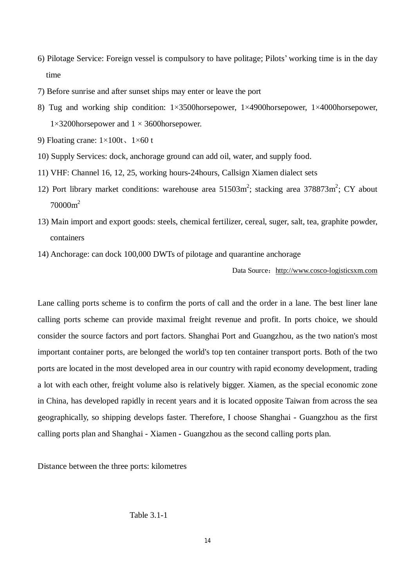- 6) Pilotage Service: Foreign vessel is compulsory to have politage; Pilots' working time is in the day time
- 7) Before sunrise and after sunset ships may enter or leave the port
- 8) Tug and working ship condition: 1×3500horsepower, 1×4900horsepower, 1×4000horsepower, 1×3200horsepower and 1 × 3600horsepower.
- 9) Floating crane:  $1 \times 100t$ ,  $1 \times 60t$
- 10) Supply Services: dock, anchorage ground can add oil, water, and supply food.
- 11) VHF: Channel 16, 12, 25, working hours-24hours, Callsign Xiamen dialect sets
- 12) Port library market conditions: warehouse area  $51503m^2$ ; stacking area  $378873m^2$ ; CY about 70000m<sup>2</sup>
- 13) Main import and export goods: steels, chemical fertilizer, cereal, suger, salt, tea, graphite powder, containers
- 14) Anchorage: can dock 100,000 DWTs of pilotage and quarantine anchorage

Data Source: http://www.cosco-logisticsxm.com

Lane calling ports scheme is to confirm the ports of call and the order in a lane. The best liner lane calling ports scheme can provide maximal freight revenue and profit. In ports choice, we should consider the source factors and port factors. Shanghai Port and Guangzhou, as the two nation's most important container ports, are belonged the world's top ten container transport ports. Both of the two ports are located in the most developed area in our country with rapid economy development, trading a lot with each other, freight volume also is relatively bigger. Xiamen, as the special economic zone in China, has developed rapidly in recent years and it is located opposite Taiwan from across the sea geographically, so shipping develops faster. Therefore, I choose Shanghai - Guangzhou as the first calling ports plan and Shanghai - Xiamen - Guangzhou as the second calling ports plan.

Distance between the three ports: kilometres

Table 3.1-1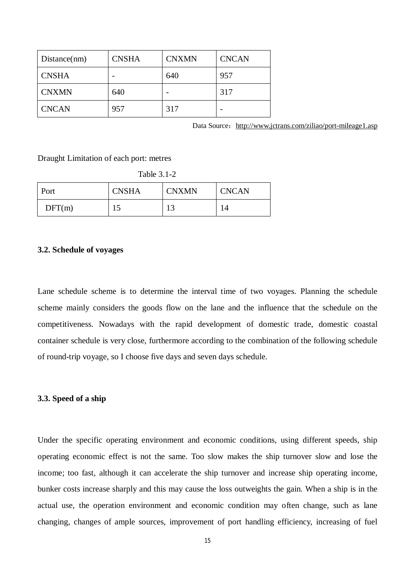| Distance(nm) | <b>CNSHA</b> | <b>CNXMN</b> | <b>CNCAN</b> |
|--------------|--------------|--------------|--------------|
| <b>CNSHA</b> |              | 640          | 957          |
| <b>CNXMN</b> | 640          |              | 317          |
| <b>CNCAN</b> | 957          | 317          |              |

Data Source: http://www.jctrans.com/ziliao/port-mileage1.asp

Draught Limitation of each port: metres

|  | Fable 3.1 |  |
|--|-----------|--|
|--|-----------|--|

| Port   | <b>CNSHA</b> | <b>CNXMN</b>       | <b>CNCAN</b> |
|--------|--------------|--------------------|--------------|
| DFT(m) | ⊥J           | $1^{\circ}$<br>⊥ J |              |

#### **3.2. Schedule of voyages**

Lane schedule scheme is to determine the interval time of two voyages. Planning the schedule scheme mainly considers the goods flow on the lane and the influence that the schedule on the competitiveness. Nowadays with the rapid development of domestic trade, domestic coastal container schedule is very close, furthermore according to the combination of the following schedule of round-trip voyage, so I choose five days and seven days schedule.

#### **3.3. Speed of a ship**

Under the specific operating environment and economic conditions, using different speeds, ship operating economic effect is not the same. Too slow makes the ship turnover slow and lose the income; too fast, although it can accelerate the ship turnover and increase ship operating income, bunker costs increase sharply and this may cause the loss outweights the gain. When a ship is in the actual use, the operation environment and economic condition may often change, such as lane changing, changes of ample sources, improvement of port handling efficiency, increasing of fuel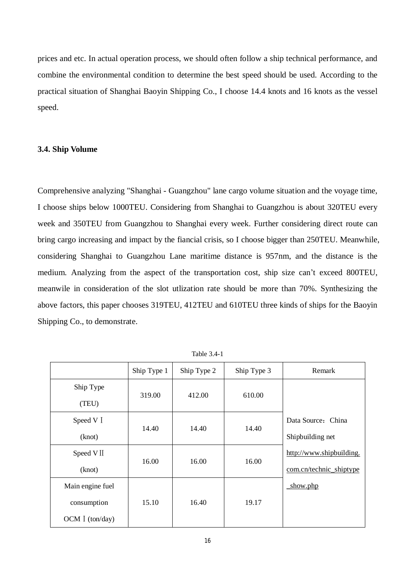prices and etc. In actual operation process, we should often follow a ship technical performance, and combine the environmental condition to determine the best speed should be used. According to the practical situation of Shanghai Baoyin Shipping Co., I choose 14.4 knots and 16 knots as the vessel speed.

#### **3.4. Ship Volume**

Comprehensive analyzing "Shanghai - Guangzhou" lane cargo volume situation and the voyage time, I choose ships below 1000TEU. Considering from Shanghai to Guangzhou is about 320TEU every week and 350TEU from Guangzhou to Shanghai every week. Further considering direct route can bring cargo increasing and impact by the fiancial crisis, so I choose bigger than 250TEU. Meanwhile, considering Shanghai to Guangzhou Lane maritime distance is 957nm, and the distance is the medium. Analyzing from the aspect of the transportation cost, ship size can't exceed 800TEU, meanwile in consideration of the slot utlization rate should be more than 70%. Synthesizing the above factors, this paper chooses 319TEU, 412TEU and 610TEU three kinds of ships for the Baoyin Shipping Co., to demonstrate.

|                  | Ship Type 1 | Ship Type 2 | Ship Type 3 | Remark                   |
|------------------|-------------|-------------|-------------|--------------------------|
| Ship Type        | 319.00      | 412.00      | 610.00      |                          |
| (TEU)            |             |             |             |                          |
| Speed V I        | 14.40       | 14.40       | 14.40       | Data Source: China       |
| (knot)           |             |             |             | Shipbuilding net         |
| Speed VII        | 16.00       | 16.00       | 16.00       | http://www.shipbuilding. |
| (knot)           |             |             |             | com.cn/technic shiptype  |
| Main engine fuel |             |             |             | show.php                 |
| consumption      | 15.10       | 16.40       | 19.17       |                          |
| OCM I (ton/day)  |             |             |             |                          |

Table 3.4-1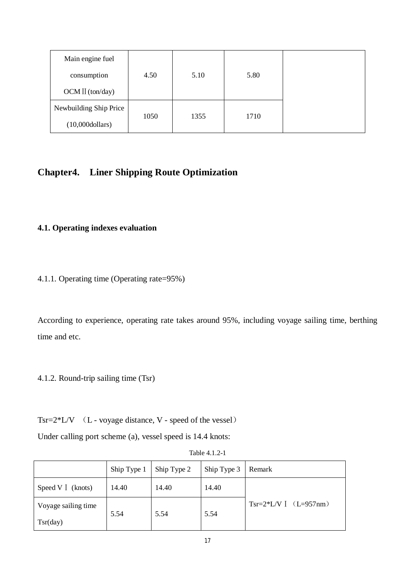| Main engine fuel         |      |      |      |  |
|--------------------------|------|------|------|--|
| consumption              | 4.50 | 5.10 | 5.80 |  |
| $OCM II$ (ton/day)       |      |      |      |  |
| Newbuilding Ship Price   |      |      |      |  |
| $(10,000\text{dollars})$ | 1050 | 1355 | 1710 |  |

## **Chapter4. Liner Shipping Route Optimization**

## **4.1. Operating indexes evaluation**

4.1.1. Operating time (Operating rate=95%)

According to experience, operating rate takes around 95%, including voyage sailing time, berthing time and etc.

4.1.2. Round-trip sailing time (Tsr)

Tsr= $2*L/V$  (L - voyage distance, V - speed of the vessel)

Under calling port scheme (a), vessel speed is 14.4 knots:

|                     | Ship Type 1 | Ship Type 2 | Ship Type 3 | Remark                    |
|---------------------|-------------|-------------|-------------|---------------------------|
| Speed V I (knots)   | 14.40       | 14.40       | 14.40       |                           |
| Voyage sailing time | 5.54        | 5.54        | 5.54        | $Tsr=2*L/V$ [ $(L=957nm)$ |
| Tsr/day)            |             |             |             |                           |

Table 4.1.2-1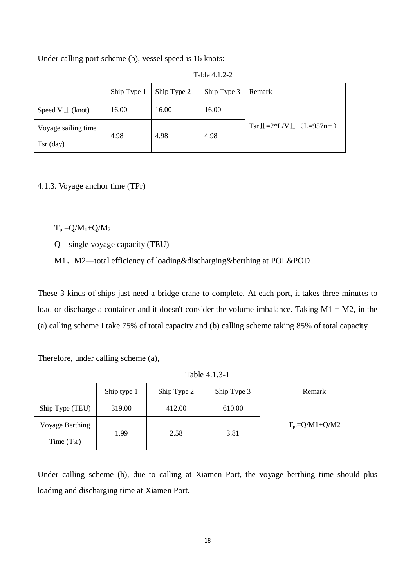Under calling port scheme (b), vessel speed is 16 knots:

|                     | Ship Type 1 | Ship Type 2 | Ship Type 3 | Remark                        |
|---------------------|-------------|-------------|-------------|-------------------------------|
| Speed V II (knot)   | 16.00       | 16.00       | 16.00       |                               |
| Voyage sailing time |             |             |             | $Tsr$ II = 2*L/V II (L=957nm) |
| $Tsr$ (day)         | 4.98        | 4.98        | 4.98        |                               |

Table 4.1.2-2

4.1.3. Voyage anchor time (TPr)

 $T_{pr}=Q/M_1+Q/M_2$ 

Q—single voyage capacity (TEU)

M1、M2—total efficiency of loading&discharging&berthing at POL&POD

These 3 kinds of ships just need a bridge crane to complete. At each port, it takes three minutes to load or discharge a container and it doesn't consider the volume imbalance. Taking  $M1 = M2$ , in the (a) calling scheme I take 75% of total capacity and (b) calling scheme taking 85% of total capacity.

Therefore, under calling scheme (a),

Table 4.1.3-1

|                 | Ship type 1 | Ship Type 2 | Ship Type 3 | Remark                 |
|-----------------|-------------|-------------|-------------|------------------------|
| Ship Type (TEU) | 319.00      | 412.00      | 610.00      |                        |
| Voyage Berthing |             |             |             | $T_{pr} = Q/M1 + Q/M2$ |
| Time $(TPT)$    | 1.99        | 2.58        | 3.81        |                        |

Under calling scheme (b), due to calling at Xiamen Port, the voyage berthing time should plus loading and discharging time at Xiamen Port.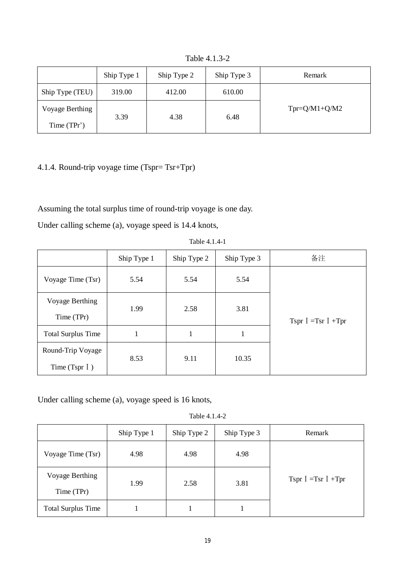Table 4.1.3-2

|                 | Ship Type 1 | Ship Type 2 | Ship Type 3 | Remark          |
|-----------------|-------------|-------------|-------------|-----------------|
| Ship Type (TEU) | 319.00      | 412.00      | 610.00      |                 |
| Voyage Berthing | 3.39        | 4.38        | 6.48        | $Tpr=Q/M1+Q/M2$ |
| Time (TPr')     |             |             |             |                 |

## 4.1.4. Round-trip voyage time (Tspr= Tsr+Tpr)

Assuming the total surplus time of round-trip voyage is one day.

Under calling scheme (a), voyage speed is 14.4 knots,

|                           | Ship Type 1 | Ship Type 2 | Ship Type 3 | 备注 |  |  |                        |
|---------------------------|-------------|-------------|-------------|----|--|--|------------------------|
| Voyage Time (Tsr)         | 5.54        | 5.54        | 5.54        |    |  |  |                        |
| Voyage Berthing           | 1.99        | 2.58        | 3.81        |    |  |  |                        |
| Time (TPr)                |             |             |             |    |  |  | Tspr $I = Tsr I + Tpr$ |
| <b>Total Surplus Time</b> |             | 1           | 1           |    |  |  |                        |
| Round-Trip Voyage         | 8.53        | 9.11        | 10.35       |    |  |  |                        |
| Time (Tspr $\Gamma$ )     |             |             |             |    |  |  |                        |

Table 4.1.4-1

Under calling scheme (a), voyage speed is 16 knots,

Table 4.1.4-2

|                           | Ship Type 1 | Ship Type 2 | Ship Type 3 | Remark                 |  |
|---------------------------|-------------|-------------|-------------|------------------------|--|
| Voyage Time (Tsr)         | 4.98        | 4.98        | 4.98        |                        |  |
| Voyage Berthing           | 1.99        | 2.58        | 3.81        | Tspr $I = Tsr I + Tpr$ |  |
| Time (TPr)                |             |             |             |                        |  |
| <b>Total Surplus Time</b> |             |             |             |                        |  |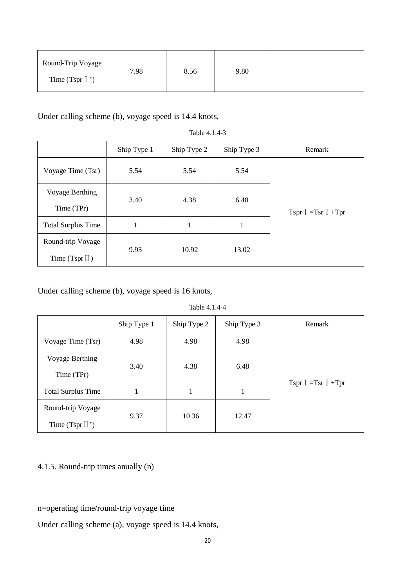| Round-Trip Voyage      | 7.98 | 8.56 | 9.80 |  |
|------------------------|------|------|------|--|
| Time (Tspr $\lceil$ ') |      |      |      |  |

Under calling scheme (b), voyage speed is 14.4 knots,

| Table 4.1.4-3             |             |             |             |                        |  |
|---------------------------|-------------|-------------|-------------|------------------------|--|
|                           | Ship Type 1 | Ship Type 2 | Ship Type 3 | Remark                 |  |
| Voyage Time (Tsr)         | 5.54        | 5.54        | 5.54        |                        |  |
| Voyage Berthing           | 3.40        | 4.38        | 6.48        |                        |  |
| Time (TPr)                |             |             |             | Tspr $I = Tsr I + Tpr$ |  |
| <b>Total Surplus Time</b> | 1           |             |             |                        |  |
| Round-trip Voyage         |             |             |             |                        |  |
| Time $(Tspr II)$          | 9.93        | 10.92       | 13.02       |                        |  |

Under calling scheme (b), voyage speed is 16 knots,

#### Table 4.1.4-4

|                           | Ship Type 1 | Ship Type 2 | Ship Type 3 | Remark                 |  |
|---------------------------|-------------|-------------|-------------|------------------------|--|
| Voyage Time (Tsr)         | 4.98        | 4.98        | 4.98        |                        |  |
| Voyage Berthing           | 3.40        | 4.38        | 6.48        |                        |  |
| Time (TPr)                |             |             |             | Tspr $I = Tsr I + Tpr$ |  |
| <b>Total Surplus Time</b> |             |             |             |                        |  |
| Round-trip Voyage         | 9.37        | 10.36       |             |                        |  |
| Time (Tspr $II'$ )        |             |             | 12.47       |                        |  |

## 4.1.5. Round-trip times anually (n)

### n=operating time/round-trip voyage time

Under calling scheme (a), voyage speed is 14.4 knots,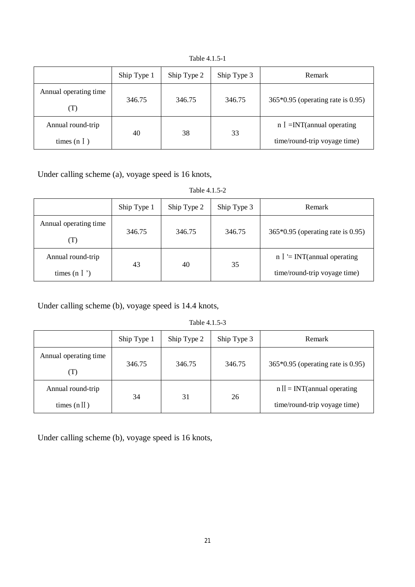|                       | Ship Type 1 | Ship Type 2 | Ship Type 3 | Remark                              |  |    |  |                              |
|-----------------------|-------------|-------------|-------------|-------------------------------------|--|----|--|------------------------------|
| Annual operating time | 346.75      | 346.75      | 346.75      | $365*0.95$ (operating rate is 0.95) |  |    |  |                              |
| (T)                   |             |             |             |                                     |  |    |  |                              |
| Annual round-trip     | 40          | 38          |             | $n \leq$ =INT(annual operating      |  |    |  |                              |
| times $(nl)$          |             |             |             |                                     |  | 33 |  | time/round-trip voyage time) |

Table 4.1.5-1

Under calling scheme (a), voyage speed is 16 knots,

Table 4.1.5-2

|                              | Ship Type 1 | Ship Type 2 | Ship Type 3 | <b>Remark</b>                                |
|------------------------------|-------------|-------------|-------------|----------------------------------------------|
| Annual operating time<br>(T) | 346.75      | 346.75      | 346.75      | $365*0.95$ (operating rate is 0.95)          |
| Annual round-trip            | 43          | 40          | 35          | $n \leq \text{INT}(\text{annual operating})$ |
| times $(n \mid \cdot)$       |             |             |             | time/round-trip voyage time)                 |

Under calling scheme (b), voyage speed is 14.4 knots,

Table 4.1.5-3

|                       | Ship Type 1 | Ship Type 2 | Ship Type 3 | Remark                              |
|-----------------------|-------------|-------------|-------------|-------------------------------------|
| Annual operating time | 346.75      | 346.75      | 346.75      | $365*0.95$ (operating rate is 0.95) |
| (T)                   |             |             |             |                                     |
| Annual round-trip     | 34          | 31          | 26          | $n II = INT(annual operating)$      |
| times $(n II)$        |             |             |             | time/round-trip voyage time)        |

Under calling scheme (b), voyage speed is 16 knots,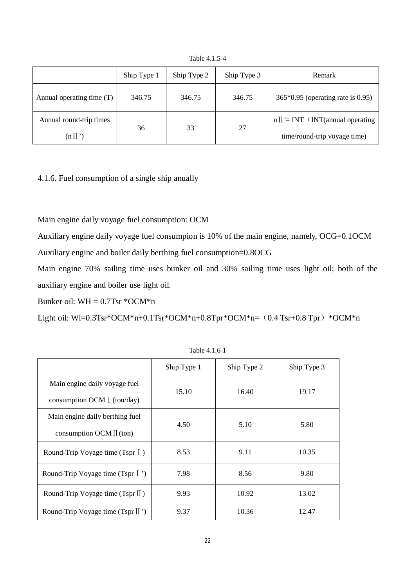|                           | Ship Type 1 | Ship Type 2 | Ship Type 3 | <b>Remark</b>                       |
|---------------------------|-------------|-------------|-------------|-------------------------------------|
| Annual operating time (T) | 346.75      | 346.75      | 346.75      | $365*0.95$ (operating rate is 0.95) |
| Annual round-trip times   | 36          | 33          | 27          | $n II = INT$ (INT(annual operating  |
| $(n \mathbb{I}^{\prime})$ |             |             |             | time/round-trip voyage time)        |

Table 4.1.5-4

4.1.6. Fuel consumption of a single ship anually

Main engine daily voyage fuel consumption: OCM

Auxiliary engine daily voyage fuel consumpion is 10% of the main engine, namely, OCG=0.1OCM Auxiliary engine and boiler daily berthing fuel consumption=0.8OCG

Main engine 70% sailing time uses bunker oil and 30% sailing time uses light oil; both of the auxiliary engine and boiler use light oil.

Bunker oil:  $WH = 0.7$ Tsr  $*OCM*n$ 

Light oil: Wl=0.3Tsr\*OCM\*n+0.1Tsr\*OCM\*n+0.8Tpr\*OCM\*n= $(0.4$  Tsr+0.8 Tpr) \*OCM\*n

|                                     | Ship Type 1 | Ship Type 2 | Ship Type 3 |  |
|-------------------------------------|-------------|-------------|-------------|--|
| Main engine daily voyage fuel       |             | 16.40       |             |  |
| consumption OCM $\dot{I}$ (ton/day) | 15.10       |             | 19.17       |  |
| Main engine daily berthing fuel     | 4.50        | 5.10        | 5.80        |  |
| consumption OCM II (ton)            |             |             |             |  |
| Round-Trip Voyage time (Tspr I)     | 8.53        | 9.11        | 10.35       |  |
| Round-Trip Voyage time (Tspr I)     | 7.98        | 8.56        | 9.80        |  |
| Round-Trip Voyage time (Tspr II)    | 9.93        | 10.92       | 13.02       |  |
| Round-Trip Voyage time (Tspr II')   | 9.37        | 10.36       | 12.47       |  |

Table 4.1.6-1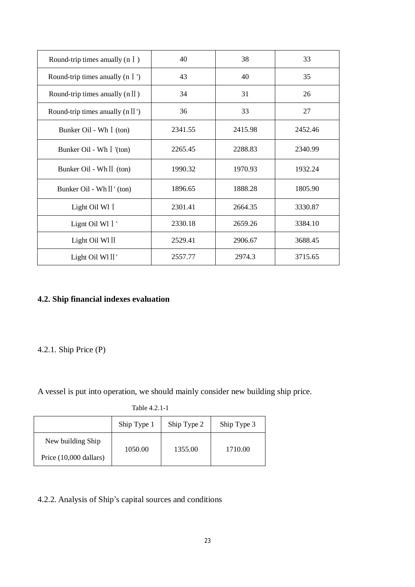| Round-trip times any (n $\overline{I}$ ) | 40      | 38      | 33      |
|------------------------------------------|---------|---------|---------|
| Round-trip times anyally (n $\Gamma$ )   | 43      | 40      | 35      |
| Round-trip times anyally $(n II)$        | 34      | 31      | 26      |
| Round-trip times any $(n II')$           | 36      | 33      | 27      |
| Bunker Oil - Wh I (ton)                  | 2341.55 | 2415.98 | 2452.46 |
| Bunker Oil - Wh I '(ton)                 | 2265.45 | 2288.83 | 2340.99 |
| Bunker Oil - Wh II (ton)                 | 1990.32 | 1970.93 | 1932.24 |
| Bunker Oil - Wh II' (ton)                | 1896.65 | 1888.28 | 1805.90 |
| Light Oil Wl I                           | 2301.41 | 2664.35 | 3330.87 |
| Lignt Oil W1 I                           | 2330.18 | 2659.26 | 3384.10 |
| Light Oil Wl II                          | 2529.41 | 2906.67 | 3688.45 |
| Light Oil WI II'                         | 2557.77 | 2974.3  | 3715.65 |

## **4.2. Ship financial indexes evaluation**

## 4.2.1. Ship Price (P)

A vessel is put into operation, we should mainly consider new building ship price.

| Table 4.2.1-1 |
|---------------|
|---------------|

|                        | Ship Type 1 | Ship Type 2 | Ship Type 3 |
|------------------------|-------------|-------------|-------------|
| New building Ship      | 1050.00     | 1355.00     | 1710.00     |
| Price (10,000 dallars) |             |             |             |

## 4.2.2. Analysis of Ship's capital sources and conditions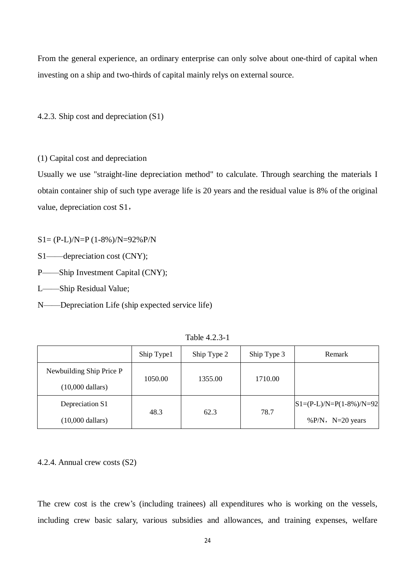From the general experience, an ordinary enterprise can only solve about one-third of capital when investing on a ship and two-thirds of capital mainly relys on external source.

4.2.3. Ship cost and depreciation (S1)

(1) Capital cost and depreciation

Usually we use "straight-line depreciation method" to calculate. Through searching the materials I obtain container ship of such type average life is 20 years and the residual value is 8% of the original value, depreciation cost S1,

S1= (P-L)/N=P (1-8%)/N=92%P/N

S1——depreciation cost (CNY);

P——Ship Investment Capital (CNY);

L——Ship Residual Value;

N——Depreciation Life (ship expected service life)

|                            | Ship Type1 | Ship Type 2 | Ship Type 3 | Remark                    |
|----------------------------|------------|-------------|-------------|---------------------------|
| Newbuilding Ship Price P   |            |             |             |                           |
| $(10,000$ dallars)         | 1050.00    | 1355.00     | 1710.00     |                           |
| Depreciation S1            |            |             |             | $S1=(P-L)/N=P(1-8%)/N=92$ |
| $(10,000 \text{ dollars})$ | 48.3       | 62.3        | 78.7        | % $P/N$ , N=20 years      |

Table 4.2.3-1

#### 4.2.4. Annual crew costs (S2)

The crew cost is the crew's (including trainees) all expenditures who is working on the vessels, including crew basic salary, various subsidies and allowances, and training expenses, welfare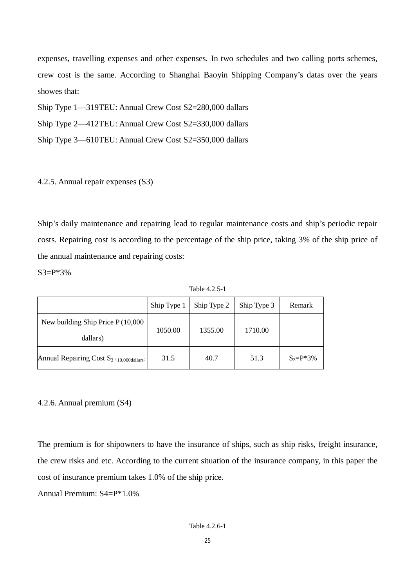expenses, travelling expenses and other expenses. In two schedules and two calling ports schemes, crew cost is the same. According to Shanghai Baoyin Shipping Company's datas over the years showes that:

Ship Type 1—319TEU: Annual Crew Cost S2=280,000 dallars

Ship Type 2—412TEU: Annual Crew Cost S2=330,000 dallars

Ship Type 3—610TEU: Annual Crew Cost S2=350,000 dallars

#### 4.2.5. Annual repair expenses (S3)

Ship's daily maintenance and repairing lead to regular maintenance costs and ship's periodic repair costs. Repairing cost is according to the percentage of the ship price, taking 3% of the ship price of the annual maintenance and repairing costs:

 $S3 = P*3%$ 

Table 4.2.5-1

|                                                | Ship Type 1 | Ship Type 2 | Ship Type 3 | Remark         |
|------------------------------------------------|-------------|-------------|-------------|----------------|
| New building Ship Price $P(10,000)$            |             | 1355.00     | 1710.00     |                |
| dallars)                                       | 1050.00     |             |             |                |
| Annual Repairing Cost $S_3 \cap 0.000$ dallars | 31.5        | 40.7        | 51.3        | $S_3 = P^*3\%$ |

4.2.6. Annual premium (S4)

The premium is for shipowners to have the insurance of ships, such as ship risks, freight insurance, the crew risks and etc. According to the current situation of the insurance company, in this paper the cost of insurance premium takes 1.0% of the ship price.

Annual Premium: S4=P\*1.0%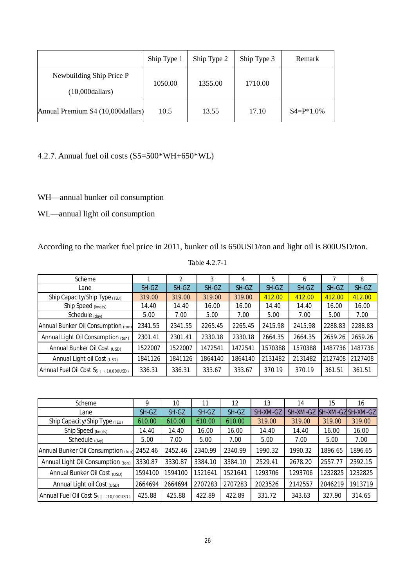|                                                 | Ship Type 1 | Ship Type 2 | Ship Type 3 | Remark          |
|-------------------------------------------------|-------------|-------------|-------------|-----------------|
| Newbuilding Ship Price P<br>$(10,0000)$ dallars | 1050.00     | 1355.00     | 1710.00     |                 |
| Annual Premium S4 (10,000 dallars)              | 10.5        | 13.55       | 17.10       | $S4 = P^*1.0\%$ |

### 4.2.7. Annual fuel oil costs (S5=500\*WH+650\*WL)

WH—annual bunker oil consumption

WL—annual light oil consumption

According to the market fuel price in 2011, bunker oil is 650USD/ton and light oil is 800USD/ton.

| Scheme                                     |         | 2       | 3       | 4       | 5       | 6       |         | 8       |
|--------------------------------------------|---------|---------|---------|---------|---------|---------|---------|---------|
| Lane                                       | SH-GZ   | SH-GZ   | SH-GZ   | SH-GZ   | SH-GZ   | SH-GZ   | SH-GZ   | SH-GZ   |
| Ship Capacity/Ship Type (TEU)              | 319.00  | 319.00  | 319.00  | 319.00  | 412.00  | 412.00  | 412.00  | 412.00  |
| Ship Speed (knots)                         | 14.40   | 14.40   | 16.00   | 16.00   | 14.40   | 14.40   | 16.00   | 16.00   |
| Schedule (day)                             | 5.00    | 7.00    | 5.00    | 7.00    | 5.00    | 7.00    | 5.00    | 7.00    |
| Annual Bunker Oil Consumption (ton)        | 2341.55 | 2341.55 | 2265.45 | 2265.45 | 2415.98 | 2415.98 | 2288.83 | 2288.83 |
| Annual Light Oil Consumption (ton)         | 2301.41 | 2301.41 | 2330.18 | 2330.18 | 2664.35 | 2664.35 | 2659.26 | 2659.26 |
| Annual Bunker Oil Cost (USD)               | 1522007 | 1522007 | 1472541 | 1472541 | 1570388 | 1570388 | 1487736 | 1487736 |
| Annual Light oil Cost (USD)                | 1841126 | 1841126 | 1864140 | 1864140 | 2131482 | 2131482 | 2127408 | 2127408 |
| Annual Fuel Oil Cost $S_{5}$ [ (10,000USD) | 336.31  | 336.31  | 333.67  | 333.67  | 370.19  | 370.19  | 361.51  | 361.51  |

| Table 4.2.7-1 |  |  |
|---------------|--|--|
|               |  |  |

| Scheme                                        | 9       | 10      | 11      | 12      | 13       | 14       | 15      | 16                       |
|-----------------------------------------------|---------|---------|---------|---------|----------|----------|---------|--------------------------|
| Lane                                          | SH-GZ   | SH-GZ   | SH-GZ   | SH-GZ   | SH-XM-GZ | SH-XM-GZ |         | <b>SH-XM-GZISH-XM-GZ</b> |
| Ship Capacity/Ship Type (TEU)                 | 610.00  | 610.00  | 610.00  | 610.00  | 319.00   | 319.00   | 319.00  | 319.00                   |
| Ship Speed (knots)                            | 14.40   | 14.40   | 16.00   | 16.00   | 14.40    | 14.40    | 16.00   | 16.00                    |
| Schedule $(day)$                              | 5.00    | 7.00    | 5.00    | 7.00    | 5.00     | 7.00     | 5.00    | 7.00                     |
| Annual Bunker Oil Consumption (ton)           | 2452.46 | 2452.46 | 2340.99 | 2340.99 | 1990.32  | 1990.32  | 1896.65 | 1896.65                  |
| Annual Light Oil Consumption (ton)            | 3330.87 | 3330.87 | 3384.10 | 3384.10 | 2529.41  | 2678.20  | 2557.77 | 2392.15                  |
| Annual Bunker Oil Cost (USD)                  | 1594100 | 1594100 | 1521641 | 1521641 | 1293706  | 1293706  | 1232825 | 1232825                  |
| Annual Light oil Cost (USD)                   | 2664694 | 2664694 | 2707283 | 2707283 | 2023526  | 2142557  | 2046219 | 1913719                  |
| Annual Fuel Oil Cost $S_{5}$ [ $(10,000$ USD) | 425.88  | 425.88  | 422.89  | 422.89  | 331.72   | 343.63   | 327.90  | 314.65                   |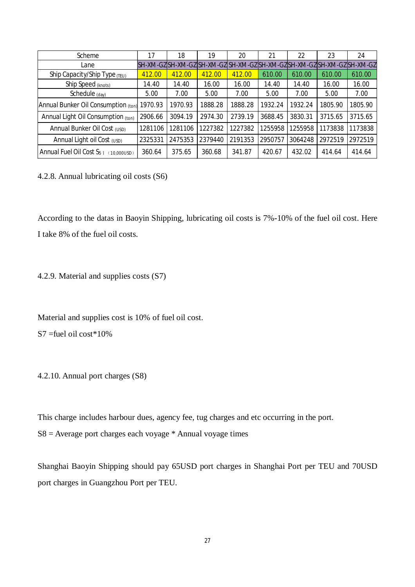| Scheme                                        | 17      | 18      | 19      | 20                                                                      | 21      | 22      | 23      | 24      |
|-----------------------------------------------|---------|---------|---------|-------------------------------------------------------------------------|---------|---------|---------|---------|
| Lane                                          |         |         |         | SH-XM-GZ SH-XM-GZ SH-XM-GZ SH-XM-GZ SH-XM-GZ SH-XM-GZ SH-XM-GZ SH-XM-GZ |         |         |         |         |
| Ship Capacity/Ship Type (TEU)                 | 412.00  | 412.00  | 412.00  | 412.00                                                                  | 610.00  | 610.00  | 610.00  | 610.00  |
| Ship Speed (knots)                            | 14.40   | 14.40   | 16.00   | 16.00                                                                   | 14.40   | 14.40   | 16.00   | 16.00   |
| Schedule (day)                                | 5.00    | 7.00    | 5.00    | 7.00                                                                    | 5.00    | 7.00    | 5.00    | 7.00    |
| Annual Bunker Oil Consumption (ton)           | 1970.93 | 1970.93 | 1888.28 | 1888.28                                                                 | 1932.24 | 1932.24 | 1805.90 | 1805.90 |
| Annual Light Oil Consumption (ton)            | 2906.66 | 3094.19 | 2974.30 | 2739.19                                                                 | 3688.45 | 3830.31 | 3715.65 | 3715.65 |
| Annual Bunker Oil Cost (USD)                  | 1281106 | 1281106 | 1227382 | 1227382                                                                 | 1255958 | 1255958 | 1173838 | 1173838 |
| Annual Light oil Cost (USD)                   | 2325331 | 2475353 | 2379440 | 2191353                                                                 | 2950757 | 3064248 | 2972519 | 2972519 |
| Annual Fuel Oil Cost $S_{5}$ [ $(10,000$ USD) | 360.64  | 375.65  | 360.68  | 341.87                                                                  | 420.67  | 432.02  | 414.64  | 414.64  |

4.2.8. Annual lubricating oil costs (S6)

According to the datas in Baoyin Shipping, lubricating oil costs is 7%-10% of the fuel oil cost. Here I take 8% of the fuel oil costs.

4.2.9. Material and supplies costs (S7)

Material and supplies cost is 10% of fuel oil cost.

S7 =fuel oil cost\*10%

4.2.10. Annual port charges (S8)

This charge includes harbour dues, agency fee, tug charges and etc occurring in the port.

 $S8 =$  Average port charges each voyage  $*$  Annual voyage times

Shanghai Baoyin Shipping should pay 65USD port charges in Shanghai Port per TEU and 70USD port charges in Guangzhou Port per TEU.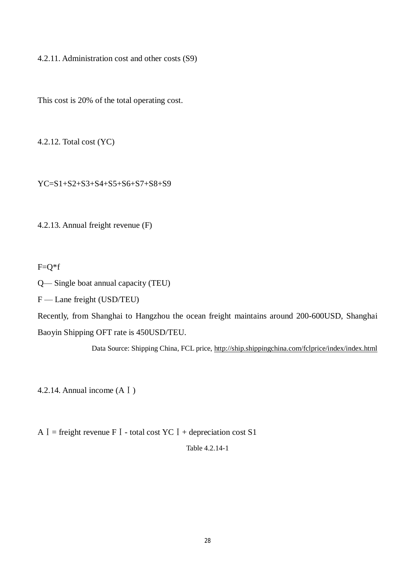4.2.11. Administration cost and other costs (S9)

This cost is 20% of the total operating cost.

4.2.12. Total cost (YC)

YC=S1+S2+S3+S4+S5+S6+S7+S8+S9

4.2.13. Annual freight revenue (F)

 $F=Q*f$ 

Q— Single boat annual capacity (TEU)

F — Lane freight (USD/TEU)

Recently, from Shanghai to Hangzhou the ocean freight maintains around 200-600USD, Shanghai Baoyin Shipping OFT rate is 450USD/TEU.

Data Source: Shipping China, FCL price, http://ship.shippingchina.com/fclprice/index/index.html

4.2.14. Annual income (AⅠ)

A  $I =$  freight revenue F  $I -$  total cost YC  $I +$  depreciation cost S1

Table 4.2.14-1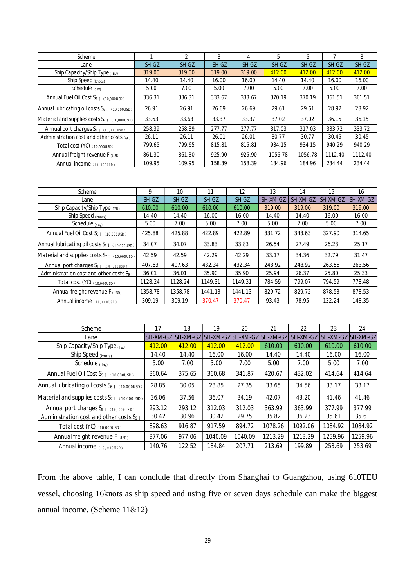| Scheme                                                 |        | $\mathfrak{p}$ | 3      | 4      | 5       | 6       |         | 8       |
|--------------------------------------------------------|--------|----------------|--------|--------|---------|---------|---------|---------|
| Lane                                                   | SH-GZ  | SH-GZ          | SH-GZ  | SH-GZ  | SH-GZ   | SH-GZ   | SH-GZ   | SH-GZ   |
| Ship Capacity/Ship Type (TEU)                          | 319.00 | 319.00         | 319.00 | 319.00 | 412.00  | 412.00  | 412.00  | 412.00  |
| Ship Speed (knots)                                     | 14.40  | 14.40          | 16.00  | 16.00  | 14.40   | 14.40   | 16.00   | 16.00   |
| Schedule (day)                                         | 5.00   | 7.00           | 5.00   | 7.00   | 5.00    | 7.00    | 5.00    | 7.00    |
| Annual Fuel Oil Cost S <sub>5 I (10,000USD)</sub>      | 336.31 | 336.31         | 333.67 | 333.67 | 370.19  | 370.19  | 361.51  | 361.51  |
| Annual lubricating oil costs $S_{6}$ [ $(10.00005D)$ ] | 26.91  | 26.91          | 26.69  | 26.69  | 29.61   | 29.61   | 28.92   | 28.92   |
| Material and supplies costs $S_{7}$ [ (10,000USD)      | 33.63  | 33.63          | 33.37  | 33.37  | 37.02   | 37.02   | 36.15   | 36.15   |
| Annual port charges S <sub>8 1 (10,000USD)</sub>       | 258.39 | 258.39         | 277.77 | 277.77 | 317.03  | 317.03  | 333.72  | 333.72  |
| Administration cost and other costs $S_{9}$ T          | 26.11  | 26.11          | 26.01  | 26.01  | 30.77   | 30.77   | 30.45   | 30.45   |
| Total cost (YC) (10,000USD)                            | 799.65 | 799.65         | 815.81 | 815.81 | 934.15  | 934.15  | 940.29  | 940.29  |
| Annual freight revenue $F_{(USD)}$                     | 861.30 | 861.30         | 925.90 | 925.90 | 1056.78 | 1056.78 | 1112.40 | 1112.40 |
| Annual income (10,000USD)                              | 109.95 | 109.95         | 158.39 | 158.39 | 184.96  | 184.96  | 234.44  | 234.44  |

| Scheme                                                         | 9       | 10      | 11      | 12      | 13       | 14       | 15       | 16       |
|----------------------------------------------------------------|---------|---------|---------|---------|----------|----------|----------|----------|
| Lane                                                           | SH-GZ   | SH-GZ   | SH-GZ   | SH-GZ   | SH-XM-GZ | SH-XM-GZ | SH-XM-GZ | SH-XM-GZ |
| Ship Capacity/Ship Type (TEU)                                  | 610.00  | 610.00  | 610.00  | 610.00  | 319.00   | 319.00   | 319.00   | 319.00   |
| Ship Speed <sub>(knots)</sub>                                  | 14.40   | 14.40   | 16.00   | 16.00   | 14.40    | 14.40    | 16.00    | 16.00    |
| Schedule (day)                                                 | 5.00    | 7.00    | 5.00    | 7.00    | 5.00     | 7.00     | 5.00     | 7.00     |
| Annual Fuel Oil Cost S <sub>5 I (10,000USD)</sub>              | 425.88  | 425.88  | 422.89  | 422.89  | 331.72   | 343.63   | 327.90   | 314.65   |
| Annual lubricating oil costs $S_{6}$ [ $(10.000 \text{USD})$ ] | 34.07   | 34.07   | 33.83   | 33.83   | 26.54    | 27.49    | 26.23    | 25.17    |
| Material and supplies costs $S_{7}$ (10,000USD)                | 42.59   | 42.59   | 42.29   | 42.29   | 33.17    | 34.36    | 32.79    | 31.47    |
| Annual port charges S <sub>8 1 (10,000USD)</sub>               | 407.63  | 407.63  | 432.34  | 432.34  | 248.92   | 248.92   | 263.56   | 263.56   |
| Administration cost and other costs $S_{9}$ i                  | 36.01   | 36.01   | 35.90   | 35.90   | 25.94    | 26.37    | 25.80    | 25.33    |
| Total cost (YC) (10,000USD)                                    | 1128.24 | 1128.24 | 1149.31 | 1149.31 | 784.59   | 799.07   | 794.59   | 778.48   |
| Annual freight revenue F (USD)                                 | 1358.78 | 1358.78 | 1441.13 | 1441.13 | 829.72   | 829.72   | 878.53   | 878.53   |
| Annual income (10,000USD)                                      | 309.19  | 309.19  | 370.47  | 370.47  | 93.43    | 78.95    | 132.24   | 148.35   |

| Scheme                                                 | 17       | 18        | 19      | 20                         | 21      | 22       | 23       | 24               |
|--------------------------------------------------------|----------|-----------|---------|----------------------------|---------|----------|----------|------------------|
| Lane                                                   | SH-XM-GZ | ISH-XM-GZ |         | SH-XM-GZISH-XM-GZISH-XM-GZ |         | SH-XM-GZ | SH-XM-GZ | <b>ISH-XM-GZ</b> |
| Ship Capacity/Ship Type (TEU)                          | 412.00   | 412.00    | 412.00  | 412.00                     | 610.00  | 610.00   | 610.00   | 610.00           |
| Ship Speed (knots)                                     | 14.40    | 14.40     | 16.00   | 16.00                      | 14.40   | 14.40    | 16.00    | 16.00            |
| Schedule (day)                                         | 5.00     | 7.00      | 5.00    | 7.00                       | 5.00    | 7.00     | 5.00     | 7.00             |
| Annual Fuel Oil Cost S <sub>5 I (10,000USD)</sub>      | 360.64   | 375.65    | 360.68  | 341.87                     | 420.67  | 432.02   | 414.64   | 414.64           |
| Annual lubricating oil costs $S_{6}$ [ $(10.000050)$ ] | 28.85    | 30.05     | 28.85   | 27.35                      | 33.65   | 34.56    | 33.17    | 33.17            |
| Material and supplies costs $S_{7,1}$ (10,000USD)      | 36.06    | 37.56     | 36.07   | 34.19                      | 42.07   | 43.20    | 41.46    | 41.46            |
| Annual port charges $S_{8}$ [ $(10,000$ usD)           | 293.12   | 293.12    | 312.03  | 312.03                     | 363.99  | 363.99   | 377.99   | 377.99           |
| Administration cost and other costs $S_{9,1}$          | 30.42    | 30.96     | 30.42   | 29.75                      | 35.82   | 36.23    | 35.61    | 35.61            |
| Total cost $(YC)$ (10,000USD)                          | 898.63   | 916.87    | 917.59  | 894.72                     | 1078.26 | 1092.06  | 1084.92  | 1084.92          |
| Annual freight revenue F (USD)                         | 977.06   | 977.06    | 1040.09 | 1040.09                    | 1213.29 | 1213.29  | 1259.96  | 1259.96          |
| Annual income (10,000USD)                              | 140.76   | 122.52    | 184.84  | 207.71                     | 213.69  | 199.89   | 253.69   | 253.69           |

From the above table, I can conclude that directly from Shanghai to Guangzhou, using 610TEU vessel, choosing 16knots as ship speed and using five or seven days schedule can make the biggest annual income. (Scheme 11&12)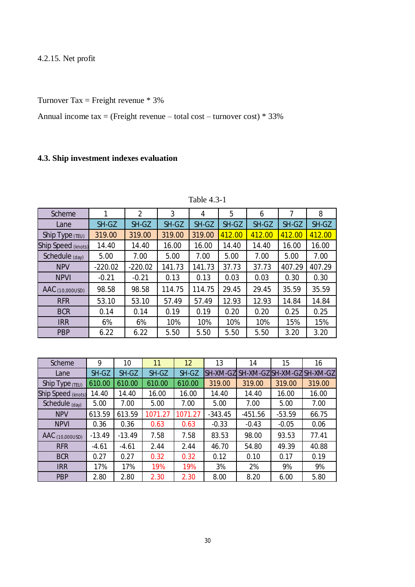## 4.2.15. Net profit

Turnover Tax = Freight revenue  $* 3\%$ 

Annual income  $tax =$  (Freight revenue – total cost – turnover cost)  $*$  33%

## **4.3. Ship investment indexes evaluation**

| <b>Scheme</b>              | 1         | $\overline{2}$ | 3      | 4      | 5      | 6      | 7      | 8      |
|----------------------------|-----------|----------------|--------|--------|--------|--------|--------|--------|
| Lane                       | SH-GZ     | SH-GZ          | SH-GZ  | SH-GZ  | SH-GZ  | SH-GZ  | SH-GZ  | SH-GZ  |
| Ship Type $(TEU)$          | 319.00    | 319.00         | 319.00 | 319.00 | 412.00 | 412.00 | 412.00 | 412.00 |
| Ship Speed (knots)         | 14.40     | 14.40          | 16.00  | 16.00  | 14.40  | 14.40  | 16.00  | 16.00  |
| Schedule (day)             | 5.00      | 7.00           | 5.00   | 7.00   | 5.00   | 7.00   | 5.00   | 7.00   |
| <b>NPV</b>                 | $-220.02$ | $-220.02$      | 141.73 | 141.73 | 37.73  | 37.73  | 407.29 | 407.29 |
| <b>NPVI</b>                | $-0.21$   | $-0.21$        | 0.13   | 0.13   | 0.03   | 0.03   | 0.30   | 0.30   |
| $\text{AAC}_{(10,000USD)}$ | 98.58     | 98.58          | 114.75 | 114.75 | 29.45  | 29.45  | 35.59  | 35.59  |
| <b>RFR</b>                 | 53.10     | 53.10          | 57.49  | 57.49  | 12.93  | 12.93  | 14.84  | 14.84  |
| <b>BCR</b>                 | 0.14      | 0.14           | 0.19   | 0.19   | 0.20   | 0.20   | 0.25   | 0.25   |
| <b>IRR</b>                 | 6%        | 6%             | 10%    | 10%    | 10%    | 10%    | 15%    | 15%    |
| <b>PBP</b>                 | 6.22      | 6.22           | 5.50   | 5.50   | 5.50   | 5.50   | 3.20   | 3.20   |

Table 4.3-1

| <b>Scheme</b>                         | 9        | 10       | 11      | 12      | 13              | 14                         | 15       | 16     |
|---------------------------------------|----------|----------|---------|---------|-----------------|----------------------------|----------|--------|
| Lane                                  | SH-GZ    | SH-GZ    | SH-GZ   | SH-GZ   | <b>SH-XM-GZ</b> | SH-XM-GZISH-XM-GZISH-XM-GZ |          |        |
| Ship Type $(TEU)$                     | 610.00   | 610.00   | 610.00  | 610.00  | 319.00          | 319.00                     | 319.00   | 319.00 |
| <b>Ship Speed (knots)</b>             | 14.40    | 14.40    | 16.00   | 16.00   | 14.40           | 14.40                      | 16.00    | 16.00  |
| Schedule (day)                        | 5.00     | 7.00     | 5.00    | 7.00    | 5.00            | 7.00                       | 5.00     | 7.00   |
| <b>NPV</b>                            | 613.59   | 613.59   | 1071.27 | 1071.27 | $-343.45$       | $-451.56$                  | $-53.59$ | 66.75  |
| <b>NPVI</b>                           | 0.36     | 0.36     | 0.63    | 0.63    | $-0.33$         | $-0.43$                    | $-0.05$  | 0.06   |
| $\overline{\mathsf{AAC}}$ (10,000USD) | $-13.49$ | $-13.49$ | 7.58    | 7.58    | 83.53           | 98.00                      | 93.53    | 77.41  |
| <b>RFR</b>                            | $-4.61$  | $-4.61$  | 2.44    | 2.44    | 46.70           | 54.80                      | 49.39    | 40.88  |
| <b>BCR</b>                            | 0.27     | 0.27     | 0.32    | 0.32    | 0.12            | 0.10                       | 0.17     | 0.19   |
| <b>IRR</b>                            | 17%      | 17%      | 19%     | 19%     | 3%              | 2%                         | 9%       | 9%     |
| <b>PBP</b>                            | 2.80     | 2.80     | 2.30    | 2.30    | 8.00            | 8.20                       | 6.00     | 5.80   |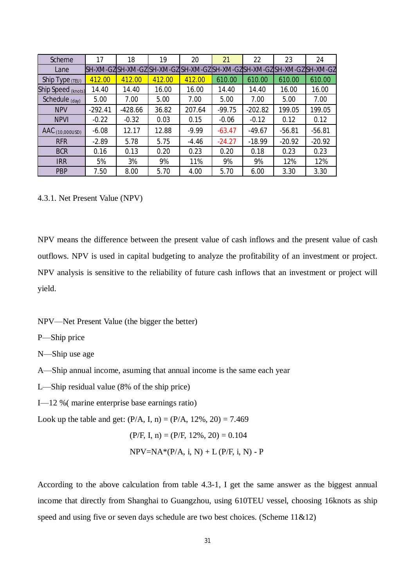| Scheme                     | 17        | 18        | 19     | 20                                                                      | 21       | 22        | 23       | 24       |
|----------------------------|-----------|-----------|--------|-------------------------------------------------------------------------|----------|-----------|----------|----------|
| Lane                       |           |           |        | SH-XM-GZ SH-XM-GZ SH-XM-GZ SH-XM-GZ SH-XM-GZ SH-XM-GZ SH-XM-GZ SH-XM-GZ |          |           |          |          |
| Ship Type $(TEU)$          | 412.00    | 412.00    | 412.00 | 412.00                                                                  | 610.00   | 610.00    | 610.00   | 610.00   |
| Ship Speed (knots)         | 14.40     | 14.40     | 16.00  | 16.00                                                                   | 14.40    | 14.40     | 16.00    | 16.00    |
| Schedule (day)             | 5.00      | 7.00      | 5.00   | 7.00                                                                    | 5.00     | 7.00      | 5.00     | 7.00     |
| <b>NPV</b>                 | $-292.41$ | $-428.66$ | 36.82  | 207.64                                                                  | $-99.75$ | $-202.82$ | 199.05   | 199.05   |
| <b>NPVI</b>                | $-0.22$   | $-0.32$   | 0.03   | 0.15                                                                    | $-0.06$  | $-0.12$   | 0.12     | 0.12     |
| $\text{AAC}_{(10,000USD)}$ | $-6.08$   | 12.17     | 12.88  | $-9.99$                                                                 | $-63.47$ | $-49.67$  | $-56.81$ | $-56.81$ |
| <b>RFR</b>                 | $-2.89$   | 5.78      | 5.75   | $-4.46$                                                                 | $-24.27$ | $-18.99$  | $-20.92$ | $-20.92$ |
| <b>BCR</b>                 | 0.16      | 0.13      | 0.20   | 0.23                                                                    | 0.20     | 0.18      | 0.23     | 0.23     |
| <b>IRR</b>                 | 5%        | 3%        | 9%     | 11%                                                                     | 9%       | 9%        | 12%      | 12%      |
| <b>PBP</b>                 | 7.50      | 8.00      | 5.70   | 4.00                                                                    | 5.70     | 6.00      | 3.30     | 3.30     |

#### 4.3.1. Net Present Value (NPV)

NPV means the difference between the present value of cash inflows and the present value of cash outflows. NPV is used in capital budgeting to analyze the profitability of an investment or project. NPV analysis is sensitive to the reliability of future cash inflows that an investment or project will yield.

NPV—Net Present Value (the bigger the better)

P—Ship price

N—Ship use age

- A—Ship annual income, asuming that annual income is the same each year
- L—Ship residual value (8% of the ship price)
- I—12 %( marine enterprise base earnings ratio)

Look up the table and get:  $(P/A, I, n) = (P/A, 12\%, 20) = 7.469$ 

$$
(P/F, I, n) = (P/F, 12\%, 20) = 0.104
$$

$$
NPV = NA*(P/A, i, N) + L(P/F, i, N) - P
$$

According to the above calculation from table 4.3-1, I get the same answer as the biggest annual income that directly from Shanghai to Guangzhou, using 610TEU vessel, choosing 16knots as ship speed and using five or seven days schedule are two best choices. (Scheme 11&12)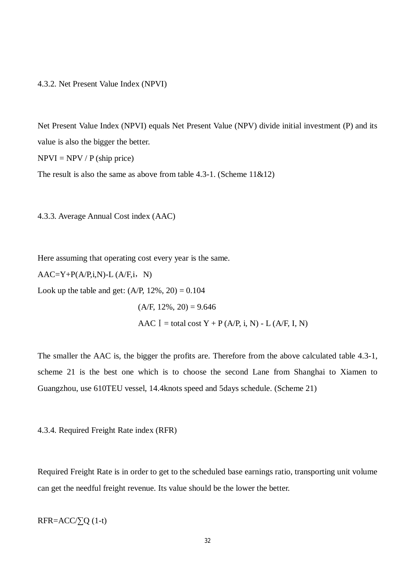#### 4.3.2. Net Present Value Index (NPVI)

Net Present Value Index (NPVI) equals Net Present Value (NPV) divide initial investment (P) and its value is also the bigger the better.

 $NPVI = NPV / P (ship price)$ 

The result is also the same as above from table 4.3-1. (Scheme  $11\&12$ )

4.3.3. Average Annual Cost index (AAC)

Here assuming that operating cost every year is the same.

 $AAC=Y+P(A/P,i,N)-L(A/F,i,N)$ 

Look up the table and get:  $(A/P, 12\%, 20) = 0.104$ 

 $(A/F, 12\%, 20) = 9.646$ AAC  $I =$  total cost  $Y + P$  (A/P, i, N) - L (A/F, I, N)

The smaller the AAC is, the bigger the profits are. Therefore from the above calculated table 4.3-1, scheme 21 is the best one which is to choose the second Lane from Shanghai to Xiamen to Guangzhou, use 610TEU vessel, 14.4knots speed and 5days schedule. (Scheme 21)

4.3.4. Required Freight Rate index (RFR)

Required Freight Rate is in order to get to the scheduled base earnings ratio, transporting unit volume can get the needful freight revenue. Its value should be the lower the better.

$$
RFR = ACC/\sum Q (1-t)
$$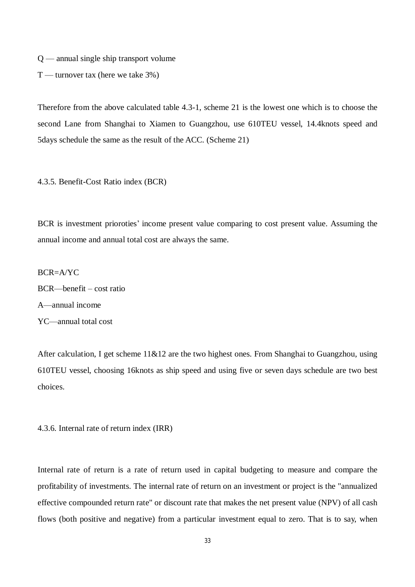$Q$  — annual single ship transport volume

 $T$  — turnover tax (here we take 3%)

Therefore from the above calculated table 4.3-1, scheme 21 is the lowest one which is to choose the second Lane from Shanghai to Xiamen to Guangzhou, use 610TEU vessel, 14.4knots speed and 5days schedule the same as the result of the ACC. (Scheme 21)

4.3.5. Benefit-Cost Ratio index (BCR)

BCR is investment prioroties' income present value comparing to cost present value. Assuming the annual income and annual total cost are always the same.

 $BCR = A/YC$ BCR—benefit – cost ratio A—annual income

YC—annual total cost

After calculation, I get scheme 11&12 are the two highest ones. From Shanghai to Guangzhou, using 610TEU vessel, choosing 16knots as ship speed and using five or seven days schedule are two best choices.

4.3.6. Internal rate of return index (IRR)

Internal rate of return is a rate of return used in capital budgeting to measure and compare the profitability of investments. The internal rate of return on an investment or project is the "annualized effective compounded return rate" or discount rate that makes the net present value (NPV) of all cash flows (both positive and negative) from a particular investment equal to zero. That is to say, when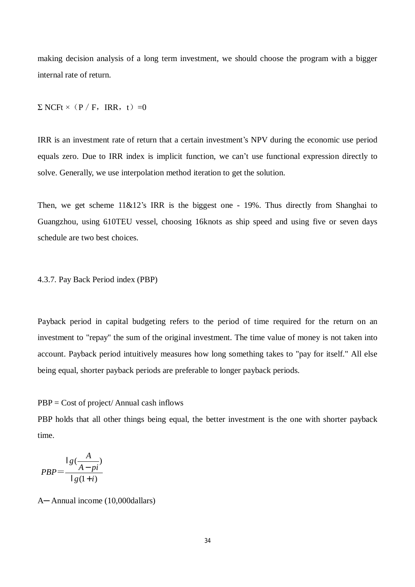making decision analysis of a long term investment, we should choose the program with a bigger internal rate of return.

 $\Sigma$  NCFt × (P / F, IRR, t) =0

IRR is an investment rate of return that a certain investment's NPV during the economic use period equals zero. Due to IRR index is implicit function, we can't use functional expression directly to solve. Generally, we use interpolation method iteration to get the solution.

Then, we get scheme  $11\&12$ 's IRR is the biggest one - 19%. Thus directly from Shanghai to Guangzhou, using 610TEU vessel, choosing 16knots as ship speed and using five or seven days schedule are two best choices.

4.3.7. Pay Back Period index (PBP)

Payback period in capital budgeting refers to the period of time required for the return on an investment to "repay" the sum of the original investment. The time value of money is not taken into account. Payback period intuitively measures how long something takes to "pay for itself." All else being equal, shorter payback periods are preferable to longer payback periods.

PBP = Cost of project/ Annual cash inflows

PBP holds that all other things being equal, the better investment is the one with shorter payback time.

$$
PBP = \frac{\lg(\frac{A}{A - pi})}{\lg(1 + i)}
$$

A─ Annual income (10,000dallars)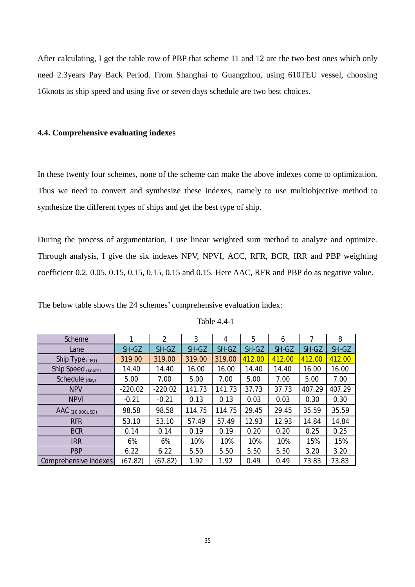After calculating, I get the table row of PBP that scheme 11 and 12 are the two best ones which only need 2.3years Pay Back Period. From Shanghai to Guangzhou, using 610TEU vessel, choosing 16knots as ship speed and using five or seven days schedule are two best choices.

#### **4.4. Comprehensive evaluating indexes**

In these twenty four schemes, none of the scheme can make the above indexes come to optimization. Thus we need to convert and synthesize these indexes, namely to use multiobjective method to synthesize the different types of ships and get the best type of ship.

During the process of argumentation, I use linear weighted sum method to analyze and optimize. Through analysis, I give the six indexes NPV, NPVI, ACC, RFR, BCR, IRR and PBP weighting coefficient 0.2, 0.05, 0.15, 0.15, 0.15, 0.15 and 0.15. Here AAC, RFR and PBP do as negative value.

| Scheme                 | 1         | 2         | 3      | 4      | 5      | 6      | 7      | 8      |
|------------------------|-----------|-----------|--------|--------|--------|--------|--------|--------|
| Lane                   | SH-GZ     | SH-GZ     | SH-GZ  | SH-GZ  | SH-GZ  | SH-GZ  | SH-GZ  | SH-GZ  |
| Ship Type $(TEU)$      | 319.00    | 319.00    | 319.00 | 319.00 | 412.00 | 412.00 | 412.00 | 412.00 |
| Ship Speed (knots)     | 14.40     | 14.40     | 16.00  | 16.00  | 14.40  | 14.40  | 16.00  | 16.00  |
| Schedule (day)         | 5.00      | 7.00      | 5.00   | 7.00   | 5.00   | 7.00   | 5.00   | 7.00   |
| <b>NPV</b>             | $-220.02$ | $-220.02$ | 141.73 | 141.73 | 37.73  | 37.73  | 407.29 | 407.29 |
| <b>NPVI</b>            | $-0.21$   | $-0.21$   | 0.13   | 0.13   | 0.03   | 0.03   | 0.30   | 0.30   |
| <b>AAC</b> (10,000USD) | 98.58     | 98.58     | 114.75 | 114.75 | 29.45  | 29.45  | 35.59  | 35.59  |
| <b>RFR</b>             | 53.10     | 53.10     | 57.49  | 57.49  | 12.93  | 12.93  | 14.84  | 14.84  |
| <b>BCR</b>             | 0.14      | 0.14      | 0.19   | 0.19   | 0.20   | 0.20   | 0.25   | 0.25   |
| <b>IRR</b>             | 6%        | 6%        | 10%    | 10%    | 10%    | 10%    | 15%    | 15%    |
| <b>PBP</b>             | 6.22      | 6.22      | 5.50   | 5.50   | 5.50   | 5.50   | 3.20   | 3.20   |
| Comprehensive indexes  | (67.82)   | (67.82)   | 1.92   | 1.92   | 0.49   | 0.49   | 73.83  | 73.83  |

The below table shows the 24 schemes' comprehensive evaluation index: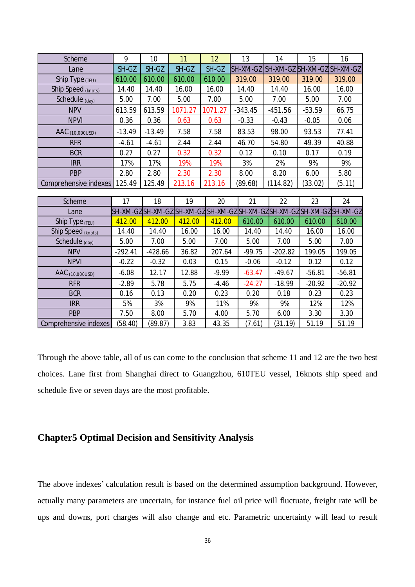| <b>Scheme</b>          | 9         | 10        | 11                        | 12      | 13        | 14                                           | 15       | 16                         |
|------------------------|-----------|-----------|---------------------------|---------|-----------|----------------------------------------------|----------|----------------------------|
| Lane                   | SH-GZ     | SH-GZ     | SH-GZ                     | SH-GZ   | SH-XM-GZ  |                                              |          | SH-XM-GZ SH-XM-GZ SH-XM-GZ |
| Ship Type $(TEU)$      | 610.00    | 610.00    | 610.00                    | 610.00  | 319.00    | 319.00                                       | 319.00   | 319.00                     |
| Ship Speed (knots)     | 14.40     | 14.40     | 16.00                     | 16.00   | 14.40     | 14.40                                        | 16.00    | 16.00                      |
| Schedule (day)         | 5.00      | 7.00      | 5.00                      | 7.00    | 5.00      | 7.00                                         | 5.00     | 7.00                       |
| <b>NPV</b>             | 613.59    | 613.59    | 1071.27                   | 1071.27 | $-343.45$ | $-451.56$                                    | $-53.59$ | 66.75                      |
| <b>NPVI</b>            | 0.36      | 0.36      | 0.63                      | 0.63    | $-0.33$   | $-0.43$                                      | $-0.05$  | 0.06                       |
| <b>AAC</b> (10,000USD) | $-13.49$  | $-13.49$  | 7.58                      | 7.58    | 83.53     | 98.00                                        | 93.53    | 77.41                      |
| <b>RFR</b>             | $-4.61$   | $-4.61$   | 2.44                      | 2.44    | 46.70     | 54.80                                        | 49.39    | 40.88                      |
| <b>BCR</b>             | 0.27      | 0.27      | 0.32                      | 0.32    | 0.12      | 0.10                                         | 0.17     | 0.19                       |
| <b>IRR</b>             | 17%       | 17%       | 19%                       | 19%     | 3%        | 2%                                           | 9%       | 9%                         |
| <b>PBP</b>             | 2.80      | 2.80      | 2.30                      | 2.30    | 8.00      | 8.20                                         | 6.00     | 5.80                       |
| Comprehensive indexes  | 125.49    | 125.49    | 213.16                    | 213.16  | (89.68)   | (114.82)                                     | (33.02)  | (5.11)                     |
|                        |           |           |                           |         |           |                                              |          |                            |
| Scheme                 | 17        | 18        | 19                        | 20      | 21        | 22                                           | 23       | 24                         |
| Lane                   |           |           | SH-XM-GZSH-XM-GZSSH-XM-GZ |         |           | SH-XM-GZ SH-XM-GZ SH-XM-GZ SH-XM-GZ SH-XM-GZ |          |                            |
| Ship Type (TEU)        | 412.00    | 412.00    | 412.00                    | 412.00  | 610.00    | 610.00                                       | 610.00   | 610.00                     |
| Ship Speed (knots)     | 14.40     | 14.40     | 16.00                     | 16.00   | 14.40     | 14.40                                        | 16.00    | 16.00                      |
| Schedule (day)         | 5.00      | 7.00      | 5.00                      | 7.00    | 5.00      | 7.00                                         | 5.00     | 7.00                       |
| <b>NPV</b>             | $-292.41$ | $-428.66$ | 36.82                     | 207.64  | $-99.75$  | $-202.82$                                    | 199.05   | 199.05                     |
| <b>NPVI</b>            | $-0.22$   | $-0.32$   | 0.03                      | 0.15    | $-0.06$   | $-0.12$                                      | 0.12     | 0.12                       |
| AAC (10,000USD)        | $-6.08$   | 12.17     | 12.88                     | $-9.99$ | $-63.47$  | $-49.67$                                     | $-56.81$ | $-56.81$                   |
| <b>RFR</b>             | $-2.89$   | 5.78      | 5.75                      | $-4.46$ | $-24.27$  | $-18.99$                                     | $-20.92$ | $-20.92$                   |
| <b>BCR</b>             | 0.16      | 0.13      | 0.20                      | 0.23    | 0.20      | 0.18                                         | 0.23     | 0.23                       |
| <b>IRR</b>             | 5%        | 3%        | 9%                        | 11%     | 9%        | 9%                                           | 12%      | 12%                        |
| <b>PBP</b>             | 7.50      | 8.00      | 5.70                      | 4.00    | 5.70      | 6.00                                         | 3.30     | 3.30                       |
| Comprehensive indexes  | (58.40)   | (89.87)   | 3.83                      | 43.35   | (7.61)    | (31.19)                                      | 51.19    | 51.19                      |

Through the above table, all of us can come to the conclusion that scheme 11 and 12 are the two best choices. Lane first from Shanghai direct to Guangzhou, 610TEU vessel, 16knots ship speed and schedule five or seven days are the most profitable.

## **Chapter5 Optimal Decision and Sensitivity Analysis**

The above indexes' calculation result is based on the determined assumption background. However, actually many parameters are uncertain, for instance fuel oil price will fluctuate, freight rate will be ups and downs, port charges will also change and etc. Parametric uncertainty will lead to result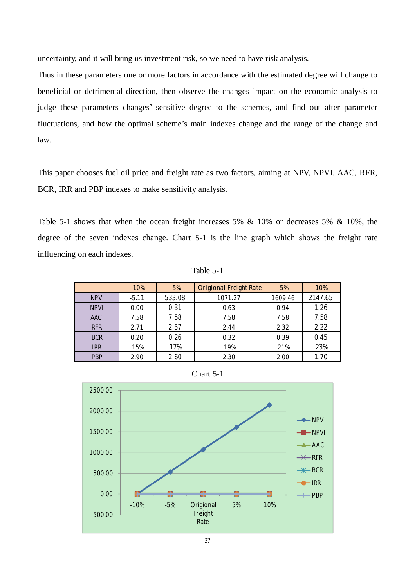uncertainty, and it will bring us investment risk, so we need to have risk analysis.

Thus in these parameters one or more factors in accordance with the estimated degree will change to beneficial or detrimental direction, then observe the changes impact on the economic analysis to judge these parameters changes' sensitive degree to the schemes, and find out after parameter fluctuations, and how the optimal scheme's main indexes change and the range of the change and law.

This paper chooses fuel oil price and freight rate as two factors, aiming at NPV, NPVI, AAC, RFR, BCR, IRR and PBP indexes to make sensitivity analysis.

Table 5-1 shows that when the ocean freight increases 5% & 10% or decreases 5% & 10%, the degree of the seven indexes change. Chart 5-1 is the line graph which shows the freight rate influencing on each indexes.

|  | anie |  |  |  |
|--|------|--|--|--|
|--|------|--|--|--|

|             | $-10%$  | $-5%$  | <b>Origional Freight Rate</b> | 5%      | 10%     |
|-------------|---------|--------|-------------------------------|---------|---------|
| <b>NPV</b>  | $-5.11$ | 533.08 | 1071.27                       | 1609.46 | 2147.65 |
| <b>NPVI</b> | 0.00    | 0.31   | 0.63                          | 0.94    | 1.26    |
| <b>AAC</b>  | 7.58    | 7.58   | 7.58                          | 7.58    | 7.58    |
| <b>RFR</b>  | 2.71    | 2.57   | 2.44                          | 2.32    | 2.22    |
| <b>BCR</b>  | 0.20    | 0.26   | 0.32                          | 0.39    | 0.45    |
| <b>IRR</b>  | 15%     | 17%    | 19%                           | 21%     | 23%     |
| <b>PBP</b>  | 2.90    | 2.60   | 2.30                          | 2.00    | 1.70    |



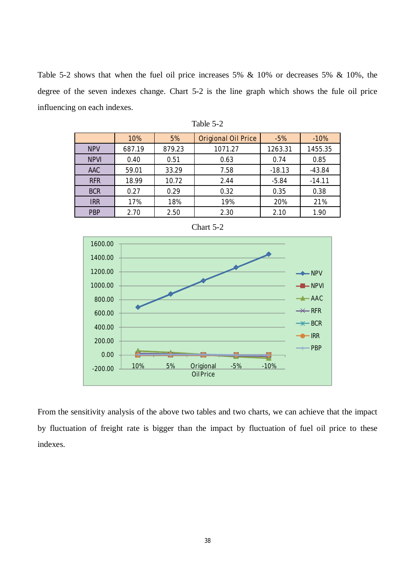Table 5-2 shows that when the fuel oil price increases 5% & 10% or decreases 5% & 10%, the degree of the seven indexes change. Chart 5-2 is the line graph which shows the fule oil price influencing on each indexes.

|             | 10%    | 5%     | <b>Origional Oil Price</b> | $-5%$    | $-10%$   |
|-------------|--------|--------|----------------------------|----------|----------|
| <b>NPV</b>  | 687.19 | 879.23 | 1071.27                    | 1263.31  | 1455.35  |
| <b>NPVI</b> | 0.40   | 0.51   | 0.63                       | 0.74     | 0.85     |
| <b>AAC</b>  | 59.01  | 33.29  | 7.58                       | $-18.13$ | $-43.84$ |
| <b>RFR</b>  | 18.99  | 10.72  | 2.44                       | $-5.84$  | $-14.11$ |
| <b>BCR</b>  | 0.27   | 0.29   | 0.32                       | 0.35     | 0.38     |
| <b>IRR</b>  | 17%    | 18%    | 19%                        | 20%      | 21%      |
| <b>PBP</b>  | 2.70   | 2.50   | 2.30                       | 2.10     | 1.90     |







From the sensitivity analysis of the above two tables and two charts, we can achieve that the impact by fluctuation of freight rate is bigger than the impact by fluctuation of fuel oil price to these indexes.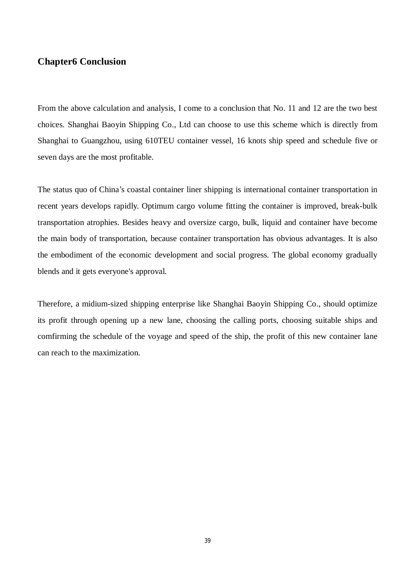### **Chapter6 Conclusion**

From the above calculation and analysis, I come to a conclusion that No. 11 and 12 are the two best choices. Shanghai Baoyin Shipping Co., Ltd can choose to use this scheme which is directly from Shanghai to Guangzhou, using 610TEU container vessel, 16 knots ship speed and schedule five or seven days are the most profitable.

The status quo of China's coastal container liner shipping is international container transportation in recent years develops rapidly. Optimum cargo volume fitting the container is improved, break-bulk transportation atrophies. Besides heavy and oversize cargo, bulk, liquid and container have become the main body of transportation, because container transportation has obvious advantages. It is also the embodiment of the economic development and social progress. The global economy gradually blends and it gets everyone's approval.

Therefore, a midium-sized shipping enterprise like Shanghai Baoyin Shipping Co., should optimize its profit through opening up a new lane, choosing the calling ports, choosing suitable ships and comfirming the schedule of the voyage and speed of the ship, the profit of this new container lane can reach to the maximization.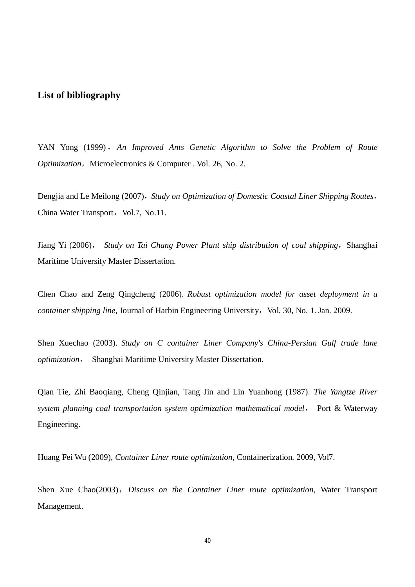#### **List of bibliography**

YAN Yong (1999) ,*An Improved Ants Genetic Algorithm to Solve the Problem of Route Optimization*, Microelectronics & Computer . Vol. 26, No. 2.

Dengjia and Le Meilong (2007),*Study on Optimization of Domestic Coastal Liner Shipping Routes*, China Water Transport, Vol.7, No.11.

Jiang Yi (2006), *Study on Tai Chang Power Plant ship distribution of coal shipping*,Shanghai Maritime University Master Dissertation.

Chen Chao and Zeng Qingcheng (2006). *Robust optimization model for asset deployment in a container shipping line*, Journal of Harbin Engineering University, Vol. 30, No. 1. Jan. 2009.

Shen Xuechao (2003). *Study on C container Liner Company's China-Persian Gulf trade lane optimization*, Shanghai Maritime University Master Dissertation.

Qian Tie, Zhi Baoqiang, Cheng Qinjian, Tang Jin and Lin Yuanhong (1987). *The Yangtze River system planning coal transportation system optimization mathematical model,* Port & Waterway Engineering.

Huang Fei Wu (2009), *Container Liner route optimization*, Containerization*.* 2009, Vol7.

Shen Xue Chao(2003),*Discuss on the Container Liner route optimization*, Water Transport Management.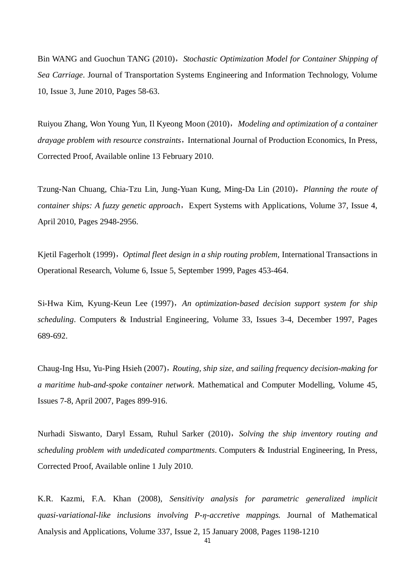Bin WANG and Guochun TANG (2010),*Stochastic Optimization Model for Container Shipping of Sea Carriage*. Journal of Transportation Systems Engineering and Information Technology, Volume 10, Issue 3, June 2010, Pages 58-63.

Ruiyou Zhang, Won Young Yun, Il Kyeong Moon (2010),*Modeling and optimization of a container drayage problem with resource constraints*, International Journal of Production Economics, In Press, Corrected Proof, Available online 13 February 2010.

Tzung-Nan Chuang, Chia-Tzu Lin, Jung-Yuan Kung, Ming-Da Lin (2010),*Planning the route of container ships: A fuzzy genetic approach*, Expert Systems with Applications, Volume 37, Issue 4, April 2010, Pages 2948-2956.

Kjetil Fagerholt (1999),*Optimal fleet design in a ship routing problem,* International Transactions in Operational Research, Volume 6, Issue 5, September 1999, Pages 453-464.

Si-Hwa Kim, Kyung-Keun Lee (1997),*An optimization-based decision support system for ship scheduling*. Computers & Industrial Engineering, Volume 33, Issues 3-4, December 1997, Pages 689-692.

Chaug-Ing Hsu, Yu-Ping Hsieh (2007),*Routing, ship size, and sailing frequency decision-making for a maritime hub-and-spoke container network*. Mathematical and Computer Modelling, Volume 45, Issues 7-8, April 2007, Pages 899-916.

Nurhadi Siswanto, Daryl Essam, Ruhul Sarker (2010),*Solving the ship inventory routing and scheduling problem with undedicated compartments*. Computers & Industrial Engineering, In Press, Corrected Proof, Available online 1 July 2010.

K.R. Kazmi, F.A. Khan (2008), *Sensitivity analysis for parametric generalized implicit quasi-variational-like inclusions involving P-η-accretive mappings.* Journal of Mathematical Analysis and Applications, Volume 337, Issue 2, 15 January 2008, Pages 1198-1210